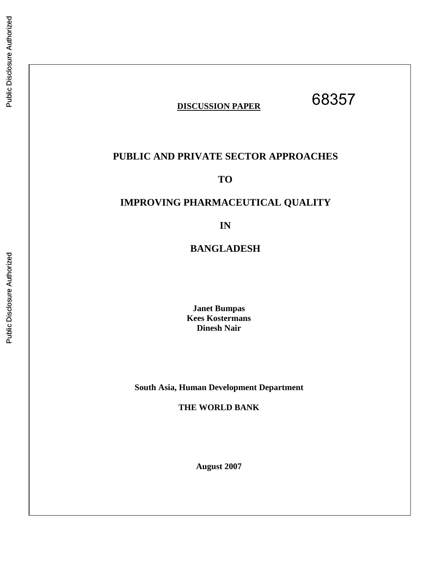## **DISCUSSION PAPER**

68357

## **PUBLIC AND PRIVATE SECTOR APPROACHES**

**TO** 

## **IMPROVING PHARMACEUTICAL QUALITY**

**IN** 

**BANGLADESH** 

**Janet Bumpas Kees Kostermans Dinesh Nair** 

**South Asia, Human Development Department** 

**THE WORLD BANK** 

**August 2007**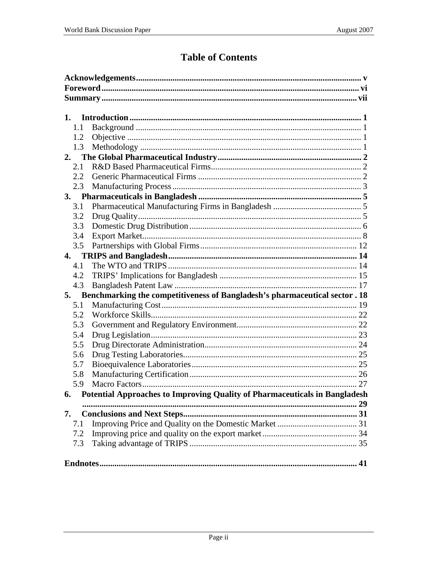## **Table of Contents**

| 1.  |                                                                               |  |  |  |  |
|-----|-------------------------------------------------------------------------------|--|--|--|--|
| 1.1 |                                                                               |  |  |  |  |
| 1.2 |                                                                               |  |  |  |  |
| 1.3 |                                                                               |  |  |  |  |
| 2.  |                                                                               |  |  |  |  |
| 2.1 |                                                                               |  |  |  |  |
| 2.2 |                                                                               |  |  |  |  |
| 2.3 |                                                                               |  |  |  |  |
| 3.  |                                                                               |  |  |  |  |
| 3.1 |                                                                               |  |  |  |  |
| 3.2 |                                                                               |  |  |  |  |
| 3.3 |                                                                               |  |  |  |  |
| 3.4 |                                                                               |  |  |  |  |
| 3.5 |                                                                               |  |  |  |  |
| 4.  |                                                                               |  |  |  |  |
| 4.1 |                                                                               |  |  |  |  |
| 4.2 |                                                                               |  |  |  |  |
| 4.3 |                                                                               |  |  |  |  |
| 5.  | Benchmarking the competitiveness of Bangladesh's pharmaceutical sector . 18   |  |  |  |  |
| 5.1 |                                                                               |  |  |  |  |
| 5.2 |                                                                               |  |  |  |  |
| 5.3 |                                                                               |  |  |  |  |
| 5.4 |                                                                               |  |  |  |  |
| 5.5 |                                                                               |  |  |  |  |
| 5.6 |                                                                               |  |  |  |  |
| 5.7 |                                                                               |  |  |  |  |
| 5.8 |                                                                               |  |  |  |  |
| 5.9 |                                                                               |  |  |  |  |
|     | 6. Potential Approaches to Improving Quality of Pharmaceuticals in Bangladesh |  |  |  |  |
|     |                                                                               |  |  |  |  |
| 7.  |                                                                               |  |  |  |  |
| 7.1 |                                                                               |  |  |  |  |
| 7.2 |                                                                               |  |  |  |  |
| 7.3 |                                                                               |  |  |  |  |
|     |                                                                               |  |  |  |  |
|     |                                                                               |  |  |  |  |
|     |                                                                               |  |  |  |  |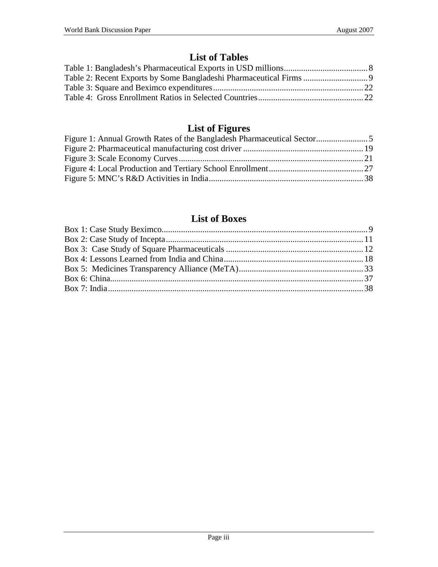## **List of Tables**

# **List of Figures**

## **List of Boxes**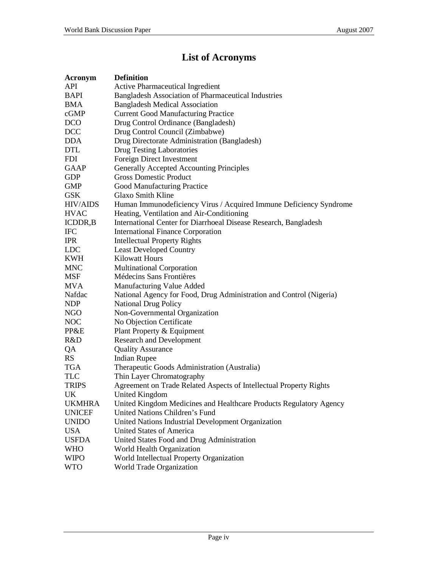## **List of Acronyms**

| Acronym         | <b>Definition</b>                                                   |
|-----------------|---------------------------------------------------------------------|
| <b>API</b>      | Active Pharmaceutical Ingredient                                    |
| <b>BAPI</b>     | <b>Bangladesh Association of Pharmaceutical Industries</b>          |
| <b>BMA</b>      | <b>Bangladesh Medical Association</b>                               |
| cGMP            | <b>Current Good Manufacturing Practice</b>                          |
| <b>DCO</b>      | Drug Control Ordinance (Bangladesh)                                 |
| <b>DCC</b>      | Drug Control Council (Zimbabwe)                                     |
| <b>DDA</b>      | Drug Directorate Administration (Bangladesh)                        |
| <b>DTL</b>      | Drug Testing Laboratories                                           |
| <b>FDI</b>      | Foreign Direct Investment                                           |
| <b>GAAP</b>     | <b>Generally Accepted Accounting Principles</b>                     |
| <b>GDP</b>      | <b>Gross Domestic Product</b>                                       |
| <b>GMP</b>      | Good Manufacturing Practice                                         |
| <b>GSK</b>      | <b>Glaxo Smith Kline</b>                                            |
| <b>HIV/AIDS</b> | Human Immunodeficiency Virus / Acquired Immune Deficiency Syndrome  |
| <b>HVAC</b>     | Heating, Ventilation and Air-Conditioning                           |
| ICDDR, B        | International Center for Diarrhoeal Disease Research, Bangladesh    |
| <b>IFC</b>      | <b>International Finance Corporation</b>                            |
| <b>IPR</b>      | <b>Intellectual Property Rights</b>                                 |
| <b>LDC</b>      | <b>Least Developed Country</b>                                      |
| <b>KWH</b>      | <b>Kilowatt Hours</b>                                               |
| <b>MNC</b>      | <b>Multinational Corporation</b>                                    |
| <b>MSF</b>      | Médecins Sans Frontières                                            |
| <b>MVA</b>      | Manufacturing Value Added                                           |
| Nafdac          | National Agency for Food, Drug Administration and Control (Nigeria) |
| <b>NDP</b>      | <b>National Drug Policy</b>                                         |
| <b>NGO</b>      | Non-Governmental Organization                                       |
| NOC             | No Objection Certificate                                            |
| PP&E            | Plant Property & Equipment                                          |
| R&D             | <b>Research and Development</b>                                     |
| QA              | <b>Quality Assurance</b>                                            |
| <b>RS</b>       | <b>Indian Rupee</b>                                                 |
| <b>TGA</b>      | Therapeutic Goods Administration (Australia)                        |
| <b>TLC</b>      | Thin Layer Chromatography                                           |
| <b>TRIPS</b>    | Agreement on Trade Related Aspects of Intellectual Property Rights  |
| UK              | United Kingdom                                                      |
| <b>UKMHRA</b>   | United Kingdom Medicines and Healthcare Products Regulatory Agency  |
| <b>UNICEF</b>   | United Nations Children's Fund                                      |
| <b>UNIDO</b>    | United Nations Industrial Development Organization                  |
| <b>USA</b>      | <b>United States of America</b>                                     |
| <b>USFDA</b>    | United States Food and Drug Administration                          |
| <b>WHO</b>      | World Health Organization                                           |
| <b>WIPO</b>     | World Intellectual Property Organization                            |
| <b>WTO</b>      | World Trade Organization                                            |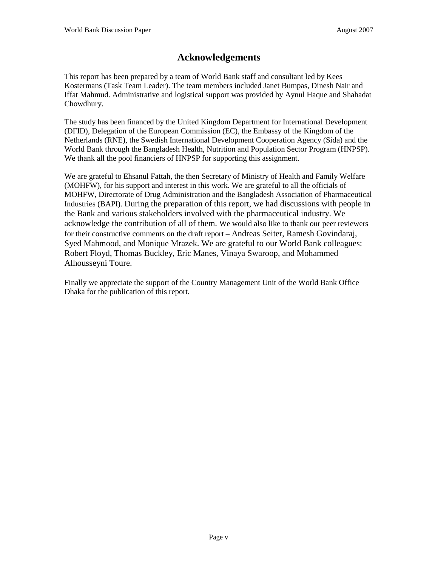## **Acknowledgements**

This report has been prepared by a team of World Bank staff and consultant led by Kees Kostermans (Task Team Leader). The team members included Janet Bumpas, Dinesh Nair and Iffat Mahmud. Administrative and logistical support was provided by Aynul Haque and Shahadat Chowdhury.

The study has been financed by the United Kingdom Department for International Development (DFID), Delegation of the European Commission (EC), the Embassy of the Kingdom of the Netherlands (RNE), the Swedish International Development Cooperation Agency (Sida) and the World Bank through the Bangladesh Health, Nutrition and Population Sector Program (HNPSP). We thank all the pool financiers of HNPSP for supporting this assignment.

We are grateful to Ehsanul Fattah, the then Secretary of Ministry of Health and Family Welfare (MOHFW), for his support and interest in this work. We are grateful to all the officials of MOHFW, Directorate of Drug Administration and the Bangladesh Association of Pharmaceutical Industries (BAPI). During the preparation of this report, we had discussions with people in the Bank and various stakeholders involved with the pharmaceutical industry. We acknowledge the contribution of all of them. We would also like to thank our peer reviewers for their constructive comments on the draft report – Andreas Seiter, Ramesh Govindaraj, Syed Mahmood, and Monique Mrazek. We are grateful to our World Bank colleagues: Robert Floyd, Thomas Buckley, Eric Manes, Vinaya Swaroop, and Mohammed Alhousseyni Toure.

Finally we appreciate the support of the Country Management Unit of the World Bank Office Dhaka for the publication of this report.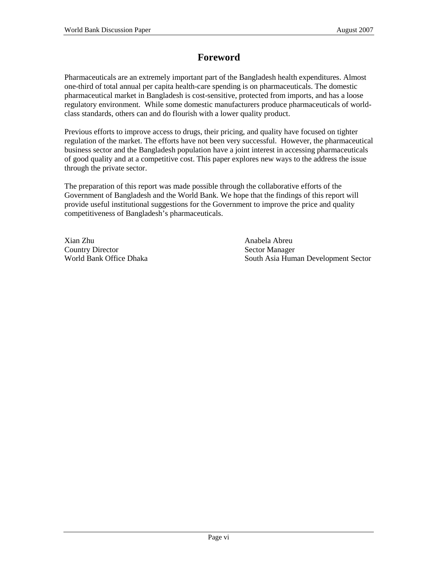## **Foreword**

Pharmaceuticals are an extremely important part of the Bangladesh health expenditures. Almost one-third of total annual per capita health-care spending is on pharmaceuticals. The domestic pharmaceutical market in Bangladesh is cost-sensitive, protected from imports, and has a loose regulatory environment. While some domestic manufacturers produce pharmaceuticals of worldclass standards, others can and do flourish with a lower quality product.

Previous efforts to improve access to drugs, their pricing, and quality have focused on tighter regulation of the market. The efforts have not been very successful. However, the pharmaceutical business sector and the Bangladesh population have a joint interest in accessing pharmaceuticals of good quality and at a competitive cost. This paper explores new ways to the address the issue through the private sector.

The preparation of this report was made possible through the collaborative efforts of the Government of Bangladesh and the World Bank. We hope that the findings of this report will provide useful institutional suggestions for the Government to improve the price and quality competitiveness of Bangladesh's pharmaceuticals.

Xian Zhu Anabela Abreu Country Director<br>
World Bank Office Dhaka<br>
South Asia Hum

South Asia Human Development Sector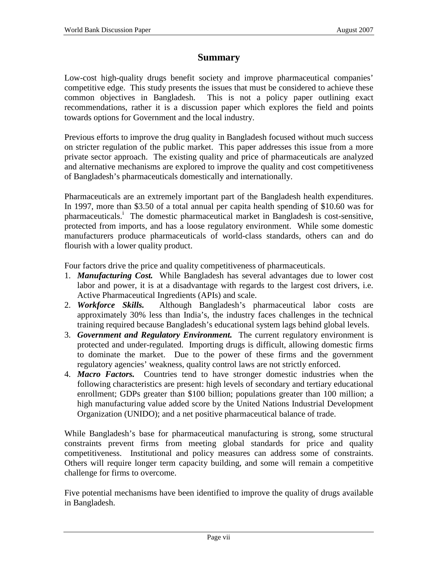## **Summary**

Low-cost high-quality drugs benefit society and improve pharmaceutical companies' competitive edge. This study presents the issues that must be considered to achieve these common objectives in Bangladesh. This is not a policy paper outlining exact recommendations, rather it is a discussion paper which explores the field and points towards options for Government and the local industry.

Previous efforts to improve the drug quality in Bangladesh focused without much success on stricter regulation of the public market. This paper addresses this issue from a more private sector approach. The existing quality and price of pharmaceuticals are analyzed and alternative mechanisms are explored to improve the quality and cost competitiveness of Bangladesh's pharmaceuticals domestically and internationally.

Pharmaceuticals are an extremely important part of the Bangladesh health expenditures. In 1997, more than \$3.50 of a total annual per capita health spending of \$10.60 was for pharmaceuticals.<sup>i</sup> The domestic pharmaceutical market in Bangladesh is cost-sensitive, protected from imports, and has a loose regulatory environment. While some domestic manufacturers produce pharmaceuticals of world-class standards, others can and do flourish with a lower quality product.

Four factors drive the price and quality competitiveness of pharmaceuticals.

- 1. *Manufacturing Cost.* While Bangladesh has several advantages due to lower cost labor and power, it is at a disadvantage with regards to the largest cost drivers, i.e. Active Pharmaceutical Ingredients (APIs) and scale.
- 2. *Workforce Skills.* Although Bangladesh's pharmaceutical labor costs are approximately 30% less than India's, the industry faces challenges in the technical training required because Bangladesh's educational system lags behind global levels.
- 3. *Government and Regulatory Environment.* The current regulatory environment is protected and under-regulated. Importing drugs is difficult, allowing domestic firms to dominate the market. Due to the power of these firms and the government regulatory agencies' weakness, quality control laws are not strictly enforced.
- 4. *Macro Factors.* Countries tend to have stronger domestic industries when the following characteristics are present: high levels of secondary and tertiary educational enrollment; GDPs greater than \$100 billion; populations greater than 100 million; a high manufacturing value added score by the United Nations Industrial Development Organization (UNIDO); and a net positive pharmaceutical balance of trade.

While Bangladesh's base for pharmaceutical manufacturing is strong, some structural constraints prevent firms from meeting global standards for price and quality competitiveness. Institutional and policy measures can address some of constraints. Others will require longer term capacity building, and some will remain a competitive challenge for firms to overcome.

Five potential mechanisms have been identified to improve the quality of drugs available in Bangladesh.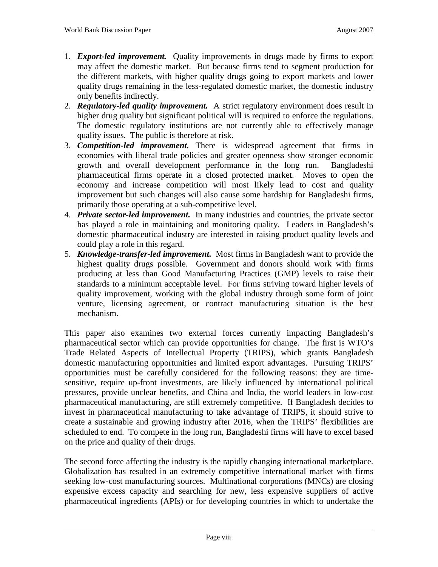- 1. *Export-led improvement.* Quality improvements in drugs made by firms to export may affect the domestic market. But because firms tend to segment production for the different markets, with higher quality drugs going to export markets and lower quality drugs remaining in the less-regulated domestic market, the domestic industry only benefits indirectly.
- 2. *Regulatory-led quality improvement.* A strict regulatory environment does result in higher drug quality but significant political will is required to enforce the regulations. The domestic regulatory institutions are not currently able to effectively manage quality issues. The public is therefore at risk.
- 3. *Competition-led improvement.* There is widespread agreement that firms in economies with liberal trade policies and greater openness show stronger economic growth and overall development performance in the long run. Bangladeshi pharmaceutical firms operate in a closed protected market. Moves to open the economy and increase competition will most likely lead to cost and quality improvement but such changes will also cause some hardship for Bangladeshi firms, primarily those operating at a sub-competitive level.
- 4. *Private sector-led improvement.* In many industries and countries, the private sector has played a role in maintaining and monitoring quality. Leaders in Bangladesh's domestic pharmaceutical industry are interested in raising product quality levels and could play a role in this regard.
- 5. *Knowledge-transfer-led improvement.* Most firms in Bangladesh want to provide the highest quality drugs possible. Government and donors should work with firms producing at less than Good Manufacturing Practices (GMP) levels to raise their standards to a minimum acceptable level. For firms striving toward higher levels of quality improvement, working with the global industry through some form of joint venture, licensing agreement, or contract manufacturing situation is the best mechanism.

This paper also examines two external forces currently impacting Bangladesh's pharmaceutical sector which can provide opportunities for change. The first is WTO's Trade Related Aspects of Intellectual Property (TRIPS), which grants Bangladesh domestic manufacturing opportunities and limited export advantages. Pursuing TRIPS' opportunities must be carefully considered for the following reasons: they are timesensitive, require up-front investments, are likely influenced by international political pressures, provide unclear benefits, and China and India, the world leaders in low-cost pharmaceutical manufacturing, are still extremely competitive. If Bangladesh decides to invest in pharmaceutical manufacturing to take advantage of TRIPS, it should strive to create a sustainable and growing industry after 2016, when the TRIPS' flexibilities are scheduled to end. To compete in the long run, Bangladeshi firms will have to excel based on the price and quality of their drugs.

The second force affecting the industry is the rapidly changing international marketplace. Globalization has resulted in an extremely competitive international market with firms seeking low-cost manufacturing sources. Multinational corporations (MNCs) are closing expensive excess capacity and searching for new, less expensive suppliers of active pharmaceutical ingredients (APIs) or for developing countries in which to undertake the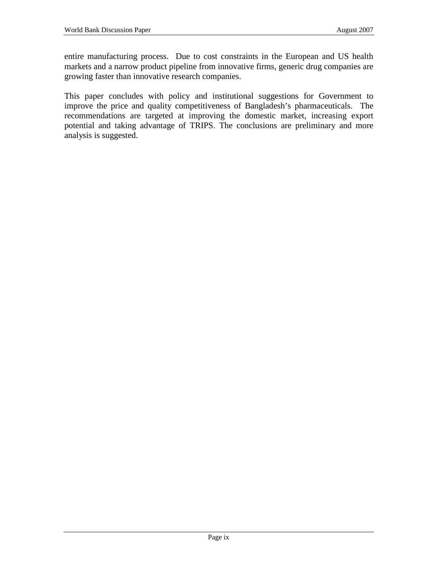entire manufacturing process. Due to cost constraints in the European and US health markets and a narrow product pipeline from innovative firms, generic drug companies are growing faster than innovative research companies.

This paper concludes with policy and institutional suggestions for Government to improve the price and quality competitiveness of Bangladesh's pharmaceuticals. The recommendations are targeted at improving the domestic market, increasing export potential and taking advantage of TRIPS. The conclusions are preliminary and more analysis is suggested.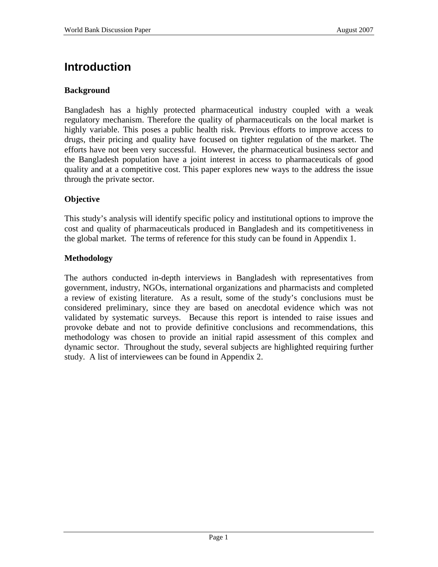# **Introduction**

### **Background**

Bangladesh has a highly protected pharmaceutical industry coupled with a weak regulatory mechanism. Therefore the quality of pharmaceuticals on the local market is highly variable. This poses a public health risk. Previous efforts to improve access to drugs, their pricing and quality have focused on tighter regulation of the market. The efforts have not been very successful. However, the pharmaceutical business sector and the Bangladesh population have a joint interest in access to pharmaceuticals of good quality and at a competitive cost. This paper explores new ways to the address the issue through the private sector.

## **Objective**

This study's analysis will identify specific policy and institutional options to improve the cost and quality of pharmaceuticals produced in Bangladesh and its competitiveness in the global market. The terms of reference for this study can be found in Appendix 1.

## **Methodology**

The authors conducted in-depth interviews in Bangladesh with representatives from government, industry, NGOs, international organizations and pharmacists and completed a review of existing literature. As a result, some of the study's conclusions must be considered preliminary, since they are based on anecdotal evidence which was not validated by systematic surveys. Because this report is intended to raise issues and provoke debate and not to provide definitive conclusions and recommendations, this methodology was chosen to provide an initial rapid assessment of this complex and dynamic sector. Throughout the study, several subjects are highlighted requiring further study. A list of interviewees can be found in Appendix 2.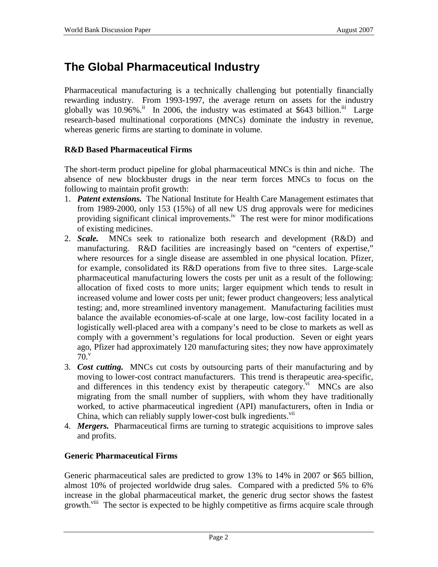# **The Global Pharmaceutical Industry**

Pharmaceutical manufacturing is a technically challenging but potentially financially rewarding industry. From 1993-1997, the average return on assets for the industry globally was 10.96%.<sup>ii</sup> In 2006, the industry was estimated at \$643 billion.<sup>iii</sup> Large research-based multinational corporations (MNCs) dominate the industry in revenue, whereas generic firms are starting to dominate in volume.

### **R&D Based Pharmaceutical Firms**

The short-term product pipeline for global pharmaceutical MNCs is thin and niche. The absence of new blockbuster drugs in the near term forces MNCs to focus on the following to maintain profit growth:

- 1. *Patent extensions.* The National Institute for Health Care Management estimates that from 1989-2000, only 153 (15%) of all new US drug approvals were for medicines providing significant clinical improvements.<sup>iv</sup> The rest were for minor modifications of existing medicines.
- 2. *Scale.* MNCs seek to rationalize both research and development (R&D) and manufacturing. R&D facilities are increasingly based on "centers of expertise," where resources for a single disease are assembled in one physical location. Pfizer, for example, consolidated its R&D operations from five to three sites. Large-scale pharmaceutical manufacturing lowers the costs per unit as a result of the following: allocation of fixed costs to more units; larger equipment which tends to result in increased volume and lower costs per unit; fewer product changeovers; less analytical testing; and, more streamlined inventory management. Manufacturing facilities must balance the available economies-of-scale at one large, low-cost facility located in a logistically well-placed area with a company's need to be close to markets as well as comply with a government's regulations for local production. Seven or eight years ago, Pfizer had approximately 120 manufacturing sites; they now have approximately  $70.$ <sup>v</sup>
- 3. *Cost cutting.* MNCs cut costs by outsourcing parts of their manufacturing and by moving to lower-cost contract manufacturers. This trend is therapeutic area-specific, and differences in this tendency exist by the rapeutic category. $\overline{v}$ <sup>i</sup> MNCs are also migrating from the small number of suppliers, with whom they have traditionally worked, to active pharmaceutical ingredient (API) manufacturers, often in India or China, which can reliably supply lower-cost bulk ingredients.<sup>vii</sup>
- 4. *Mergers.* Pharmaceutical firms are turning to strategic acquisitions to improve sales and profits.

### **Generic Pharmaceutical Firms**

Generic pharmaceutical sales are predicted to grow 13% to 14% in 2007 or \$65 billion, almost 10% of projected worldwide drug sales. Compared with a predicted 5% to 6% increase in the global pharmaceutical market, the generic drug sector shows the fastest growth.<sup>viii</sup> The sector is expected to be highly competitive as firms acquire scale through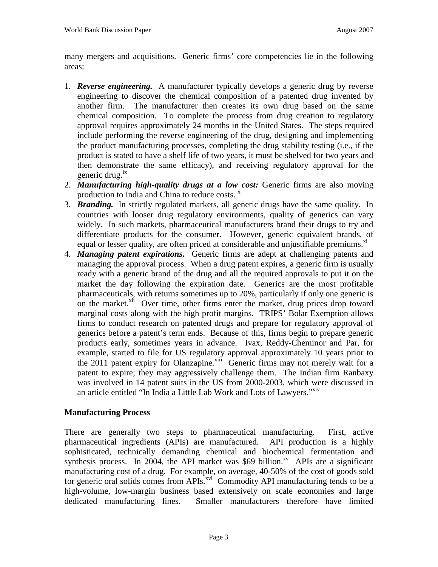many mergers and acquisitions. Generic firms' core competencies lie in the following areas:

- 1. *Reverse engineering.* A manufacturer typically develops a generic drug by reverse engineering to discover the chemical composition of a patented drug invented by another firm. The manufacturer then creates its own drug based on the same chemical composition. To complete the process from drug creation to regulatory approval requires approximately 24 months in the United States. The steps required include performing the reverse engineering of the drug, designing and implementing the product manufacturing processes, completing the drug stability testing (i.e., if the product is stated to have a shelf life of two years, it must be shelved for two years and then demonstrate the same efficacy), and receiving regulatory approval for the generic drug. $^{ix}$
- 2. *Manufacturing high-quality drugs at a low cost:* Generic firms are also moving production to India and China to reduce costs.  $x^2$
- 3. *Branding.* In strictly regulated markets, all generic drugs have the same quality. In countries with looser drug regulatory environments, quality of generics can vary widely. In such markets, pharmaceutical manufacturers brand their drugs to try and differentiate products for the consumer. However, generic equivalent brands, of equal or lesser quality, are often priced at considerable and unjustifiable premiums.<sup>xi</sup>
- 4. *Managing patent expirations.* Generic firms are adept at challenging patents and managing the approval process. When a drug patent expires, a generic firm is usually ready with a generic brand of the drug and all the required approvals to put it on the market the day following the expiration date. Generics are the most profitable pharmaceuticals, with returns sometimes up to 20%, particularly if only one generic is on the market.<sup>xii</sup> Over time, other firms enter the market, drug prices drop toward marginal costs along with the high profit margins. TRIPS' Bolar Exemption allows firms to conduct research on patented drugs and prepare for regulatory approval of generics before a patent's term ends. Because of this, firms begin to prepare generic products early, sometimes years in advance. Ivax, Reddy-Cheminor and Par, for example, started to file for US regulatory approval approximately 10 years prior to the 2011 patent expiry for Olanzapine.<sup>xiii</sup> Generic firms may not merely wait for a patent to expire; they may aggressively challenge them. The Indian firm Ranbaxy was involved in 14 patent suits in the US from 2000-2003, which were discussed in an article entitled "In India a Little Lab Work and Lots of Lawyers."<sup>XIV</sup>

### **Manufacturing Process**

There are generally two steps to pharmaceutical manufacturing. First, active pharmaceutical ingredients (APIs) are manufactured. API production is a highly sophisticated, technically demanding chemical and biochemical fermentation and synthesis process. In 2004, the API market was \$69 billion.<sup>xv</sup> APIs are a significant manufacturing cost of a drug. For example, on average, 40-50% of the cost of goods sold for generic oral solids comes from APIs.<sup>xvi</sup> Commodity API manufacturing tends to be a high-volume, low-margin business based extensively on scale economies and large dedicated manufacturing lines. Smaller manufacturers therefore have limited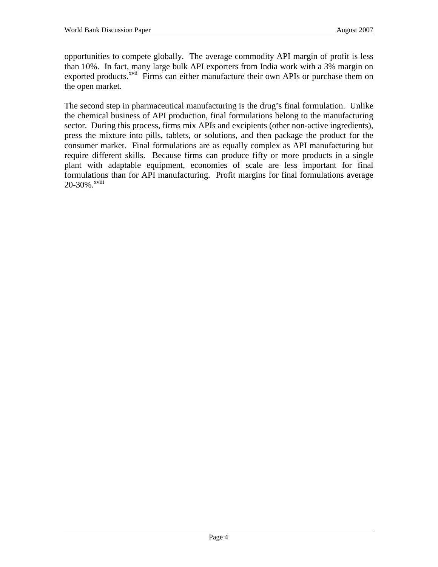opportunities to compete globally. The average commodity API margin of profit is less than 10%. In fact, many large bulk API exporters from India work with a 3% margin on exported products.<sup>xvii</sup> Firms can either manufacture their own APIs or purchase them on the open market.

The second step in pharmaceutical manufacturing is the drug's final formulation. Unlike the chemical business of API production, final formulations belong to the manufacturing sector. During this process, firms mix APIs and excipients (other non-active ingredients), press the mixture into pills, tablets, or solutions, and then package the product for the consumer market. Final formulations are as equally complex as API manufacturing but require different skills. Because firms can produce fifty or more products in a single plant with adaptable equipment, economies of scale are less important for final formulations than for API manufacturing. Profit margins for final formulations average 20-30%.<sup>xviii</sup>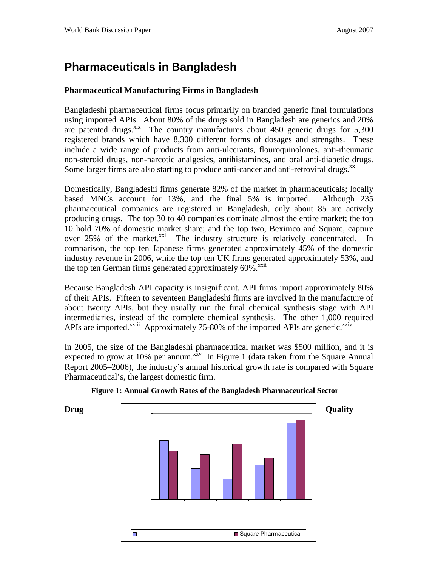# **Pharmaceuticals in Bangladesh**

#### **Pharmaceutical Manufacturing Firms in Bangladesh**

Bangladeshi pharmaceutical firms focus primarily on branded generic final formulations using imported APIs. About 80% of the drugs sold in Bangladesh are generics and 20% are patented drugs. $x$ <sup>xix</sup> The country manufactures about  $\overline{450}$  generic drugs for 5,300 registered brands which have 8,300 different forms of dosages and strengths. These include a wide range of products from anti-ulcerants, flouroquinolones, anti-rheumatic non-steroid drugs, non-narcotic analgesics, antihistamines, and oral anti-diabetic drugs. Some larger firms are also starting to produce anti-cancer and anti-retroviral drugs. $^{xx}$ 

Domestically, Bangladeshi firms generate 82% of the market in pharmaceuticals; locally based MNCs account for 13%, and the final 5% is imported. Although 235 pharmaceutical companies are registered in Bangladesh, only about 85 are actively producing drugs. The top 30 to 40 companies dominate almost the entire market; the top 10 hold 70% of domestic market share; and the top two, Beximco and Square, capture over 25% of the market.<sup>xxi</sup> The industry structure is relatively concentrated. In comparison, the top ten Japanese firms generated approximately 45% of the domestic industry revenue in 2006, while the top ten UK firms generated approximately 53%, and the top ten German firms generated approximately 60%.<sup>xxii</sup>

Because Bangladesh API capacity is insignificant, API firms import approximately 80% of their APIs. Fifteen to seventeen Bangladeshi firms are involved in the manufacture of about twenty APIs, but they usually run the final chemical synthesis stage with API intermediaries, instead of the complete chemical synthesis. The other 1,000 required APIs are imported.<sup>xxiii</sup> Approximately 75-80% of the imported APIs are generic.<sup>xxiv</sup>

In 2005, the size of the Bangladeshi pharmaceutical market was \$500 million, and it is expected to grow at 10% per annum.<sup>xxv</sup> In Figure 1 (data taken from the Square Annual Report 2005–2006), the industry's annual historical growth rate is compared with Square Pharmaceutical's, the largest domestic firm.



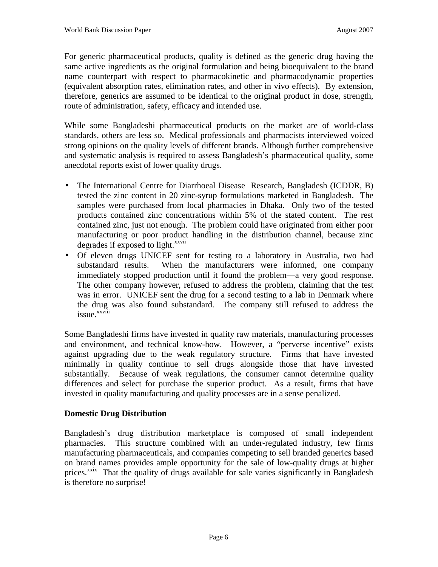For generic pharmaceutical products, quality is defined as the generic drug having the same active ingredients as the original formulation and being bioequivalent to the brand name counterpart with respect to pharmacokinetic and pharmacodynamic properties (equivalent absorption rates, elimination rates, and other in vivo effects). By extension, therefore, generics are assumed to be identical to the original product in dose, strength, route of administration, safety, efficacy and intended use.

While some Bangladeshi pharmaceutical products on the market are of world-class standards, others are less so. Medical professionals and pharmacists interviewed voiced strong opinions on the quality levels of different brands. Although further comprehensive and systematic analysis is required to assess Bangladesh's pharmaceutical quality, some anecdotal reports exist of lower quality drugs.

- The International Centre for Diarrhoeal Disease Research, Bangladesh (ICDDR, B) tested the zinc content in 20 zinc-syrup formulations marketed in Bangladesh. The samples were purchased from local pharmacies in Dhaka. Only two of the tested products contained zinc concentrations within 5% of the stated content. The rest contained zinc, just not enough. The problem could have originated from either poor manufacturing or poor product handling in the distribution channel, because zinc degrades if exposed to light.<sup>xxvii</sup>
- Of eleven drugs UNICEF sent for testing to a laboratory in Australia, two had substandard results. When the manufacturers were informed, one company immediately stopped production until it found the problem—a very good response. The other company however, refused to address the problem, claiming that the test was in error. UNICEF sent the drug for a second testing to a lab in Denmark where the drug was also found substandard. The company still refused to address the issue.<sup>xxviii</sup>

Some Bangladeshi firms have invested in quality raw materials, manufacturing processes and environment, and technical know-how. However, a "perverse incentive" exists against upgrading due to the weak regulatory structure. Firms that have invested minimally in quality continue to sell drugs alongside those that have invested substantially. Because of weak regulations, the consumer cannot determine quality differences and select for purchase the superior product. As a result, firms that have invested in quality manufacturing and quality processes are in a sense penalized.

### **Domestic Drug Distribution**

Bangladesh's drug distribution marketplace is composed of small independent pharmacies. This structure combined with an under-regulated industry, few firms manufacturing pharmaceuticals, and companies competing to sell branded generics based on brand names provides ample opportunity for the sale of low-quality drugs at higher prices.<sup> $x$ xix</sup> That the quality of drugs available for sale varies significantly in Bangladesh is therefore no surprise!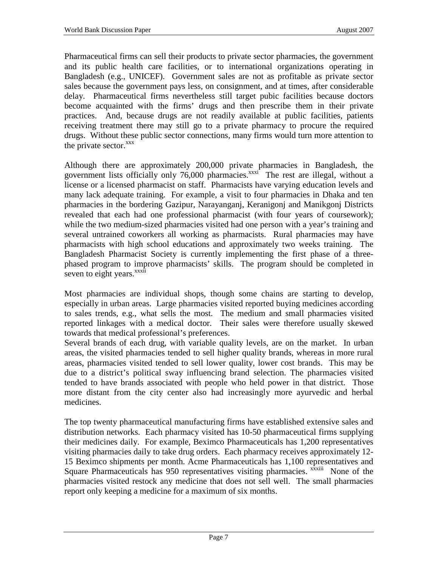Pharmaceutical firms can sell their products to private sector pharmacies, the government and its public health care facilities, or to international organizations operating in Bangladesh (e.g., UNICEF). Government sales are not as profitable as private sector sales because the government pays less, on consignment, and at times, after considerable delay. Pharmaceutical firms nevertheless still target pubic facilities because doctors become acquainted with the firms' drugs and then prescribe them in their private practices. And, because drugs are not readily available at public facilities, patients receiving treatment there may still go to a private pharmacy to procure the required drugs. Without these public sector connections, many firms would turn more attention to the private sector.<sup>xxx</sup>

Although there are approximately 200,000 private pharmacies in Bangladesh, the government lists officially only  $76,000$  pharmacies. $\frac{x}{x}$  The rest are illegal, without a license or a licensed pharmacist on staff. Pharmacists have varying education levels and many lack adequate training. For example, a visit to four pharmacies in Dhaka and ten pharmacies in the bordering Gazipur, Narayanganj, Keranigonj and Manikgonj Districts revealed that each had one professional pharmacist (with four years of coursework); while the two medium-sized pharmacies visited had one person with a year's training and several untrained coworkers all working as pharmacists. Rural pharmacies may have pharmacists with high school educations and approximately two weeks training. The Bangladesh Pharmacist Society is currently implementing the first phase of a threephased program to improve pharmacists' skills. The program should be completed in seven to eight years.<sup>xxxii</sup>

Most pharmacies are individual shops, though some chains are starting to develop, especially in urban areas. Large pharmacies visited reported buying medicines according to sales trends, e.g., what sells the most. The medium and small pharmacies visited reported linkages with a medical doctor. Their sales were therefore usually skewed towards that medical professional's preferences.

Several brands of each drug, with variable quality levels, are on the market. In urban areas, the visited pharmacies tended to sell higher quality brands, whereas in more rural areas, pharmacies visited tended to sell lower quality, lower cost brands. This may be due to a district's political sway influencing brand selection. The pharmacies visited tended to have brands associated with people who held power in that district. Those more distant from the city center also had increasingly more ayurvedic and herbal medicines.

The top twenty pharmaceutical manufacturing firms have established extensive sales and distribution networks. Each pharmacy visited has 10-50 pharmaceutical firms supplying their medicines daily. For example, Beximco Pharmaceuticals has 1,200 representatives visiting pharmacies daily to take drug orders. Each pharmacy receives approximately 12- 15 Beximco shipments per month. Acme Pharmaceuticals has 1,100 representatives and Square Pharmaceuticals has 950 representatives visiting pharmacies. xxxiii None of the pharmacies visited restock any medicine that does not sell well. The small pharmacies report only keeping a medicine for a maximum of six months.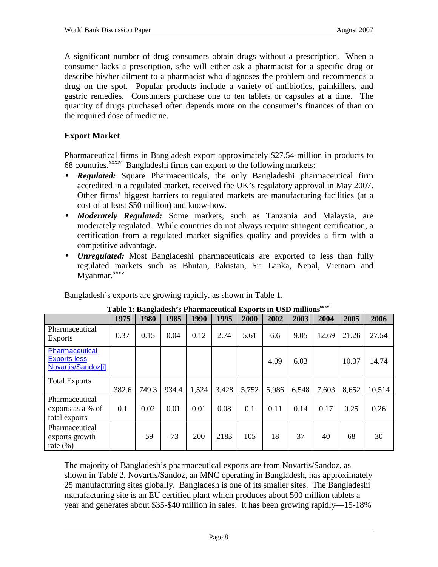A significant number of drug consumers obtain drugs without a prescription. When a consumer lacks a prescription, s/he will either ask a pharmacist for a specific drug or describe his/her ailment to a pharmacist who diagnoses the problem and recommends a drug on the spot. Popular products include a variety of antibiotics, painkillers, and gastric remedies. Consumers purchase one to ten tablets or capsules at a time. The quantity of drugs purchased often depends more on the consumer's finances of than on the required dose of medicine.

### **Export Market**

Pharmaceutical firms in Bangladesh export approximately \$27.54 million in products to 68 countries.<sup>xxxiv</sup> Bangladeshi firms can export to the following markets:

- *Regulated:* Square Pharmaceuticals, the only Bangladeshi pharmaceutical firm accredited in a regulated market, received the UK's regulatory approval in May 2007. Other firms' biggest barriers to regulated markets are manufacturing facilities (at a cost of at least \$50 million) and know-how.
- *Moderately Regulated:* Some markets, such as Tanzania and Malaysia, are moderately regulated. While countries do not always require stringent certification, a certification from a regulated market signifies quality and provides a firm with a competitive advantage.
- *Unregulated:* Most Bangladeshi pharmaceuticals are exported to less than fully regulated markets such as Bhutan, Pakistan, Sri Lanka, Nepal, Vietnam and Myanmar.<sup>xxxv</sup>

Bangladesh's exports are growing rapidly, as shown in Table 1.

| $-$<br>n b 1 mai maccavicai<br>244899280                    |       |       |       |       |       |       |       |       |       |       |        |
|-------------------------------------------------------------|-------|-------|-------|-------|-------|-------|-------|-------|-------|-------|--------|
|                                                             | 1975  | 1980  | 1985  | 1990  | 1995  | 2000  | 2002  | 2003  | 2004  | 2005  | 2006   |
| Pharmaceutical<br><b>Exports</b>                            | 0.37  | 0.15  | 0.04  | 0.12  | 2.74  | 5.61  | 6.6   | 9.05  | 12.69 | 21.26 | 27.54  |
| Pharmaceutical<br><b>Exports less</b><br>Novartis/Sandoz[i] |       |       |       |       |       |       | 4.09  | 6.03  |       | 10.37 | 14.74  |
| <b>Total Exports</b>                                        | 382.6 | 749.3 | 934.4 | 1,524 | 3,428 | 5,752 | 5,986 | 6,548 | 7,603 | 8,652 | 10,514 |
| Pharmaceutical<br>exports as a % of<br>total exports        | 0.1   | 0.02  | 0.01  | 0.01  | 0.08  | 0.1   | 0.11  | 0.14  | 0.17  | 0.25  | 0.26   |
| Pharmaceutical<br>exports growth<br>rate $(\% )$            |       | $-59$ | $-73$ | 200   | 2183  | 105   | 18    | 37    | 40    | 68    | 30     |

| Table 1: Bangladesh's Pharmaceutical Exports in USD millions <sup>xxxvi</sup> |
|-------------------------------------------------------------------------------|
|-------------------------------------------------------------------------------|

The majority of Bangladesh's pharmaceutical exports are from Novartis/Sandoz, as shown in Table 2. Novartis/Sandoz, an MNC operating in Bangladesh, has approximately 25 manufacturing sites globally. Bangladesh is one of its smaller sites. The Bangladeshi manufacturing site is an EU certified plant which produces about 500 million tablets a year and generates about \$35-\$40 million in sales. It has been growing rapidly—15-18%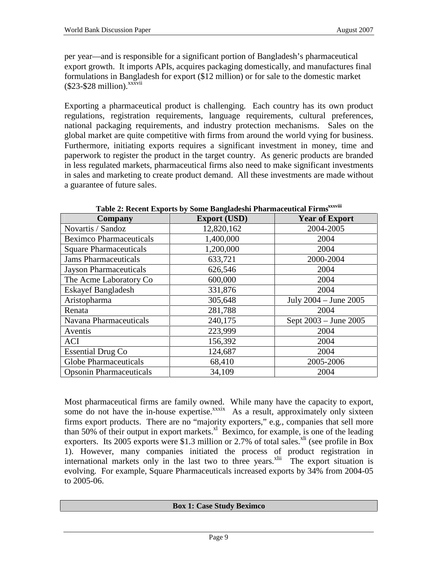per year—and is responsible for a significant portion of Bangladesh's pharmaceutical export growth. It imports APIs, acquires packaging domestically, and manufactures final formulations in Bangladesh for export (\$12 million) or for sale to the domestic market  $($23-$28 million).$ <sup>xxxvii</sup>

Exporting a pharmaceutical product is challenging. Each country has its own product regulations, registration requirements, language requirements, cultural preferences, national packaging requirements, and industry protection mechanisms. Sales on the global market are quite competitive with firms from around the world vying for business. Furthermore, initiating exports requires a significant investment in money, time and paperwork to register the product in the target country. As generic products are branded in less regulated markets, pharmaceutical firms also need to make significant investments in sales and marketing to create product demand. All these investments are made without a guarantee of future sales.

| Company                        | <b>Export (USD)</b> | <b>Year of Export</b>     |
|--------------------------------|---------------------|---------------------------|
| Novartis / Sandoz              | 12,820,162          | 2004-2005                 |
| <b>Beximco Pharmaceuticals</b> | 1,400,000           | 2004                      |
| <b>Square Pharmaceuticals</b>  | 1,200,000           | 2004                      |
| <b>Jams Pharmaceuticals</b>    | 633,721             | 2000-2004                 |
| <b>Jayson Pharmaceuticals</b>  | 626,546             | 2004                      |
| The Acme Laboratory Co         | 600,000             | 2004                      |
| <b>Eskayef Bangladesh</b>      | 331,876             | 2004                      |
| Aristopharma                   | 305,648             | July $2004 -$ June $2005$ |
| Renata                         | 281,788             | 2004                      |
| Navana Pharmaceuticals         | 240,175             | Sept 2003 – June 2005     |
| Aventis                        | 223,999             | 2004                      |
| ACI                            | 156,392             | 2004                      |
| <b>Essential Drug Co</b>       | 124,687             | 2004                      |
| <b>Globe Pharmaceuticals</b>   | 68,410              | 2005-2006                 |
| <b>Opsonin Pharmaceuticals</b> | 34,109              | 2004                      |

Table 2: Recent Exports by Some Bangladeshi Pharmaceutical Firms<sup>xxxviii</sup>

Most pharmaceutical firms are family owned. While many have the capacity to export, some do not have the in-house expertise.<sup>xxxix</sup> As a result, approximately only sixteen firms export products. There are no "majority exporters," e.g., companies that sell more than 50% of their output in export markets. $x_i$  Beximco, for example, is one of the leading exporters. Its 2005 exports were \$1.3 million or 2.7% of total sales.<sup>xli</sup> (see profile in Box 1). However, many companies initiated the process of product registration in international markets only in the last two to three years.<sup>xlii</sup> The export situation is evolving. For example, Square Pharmaceuticals increased exports by 34% from 2004-05 to 2005-06.

#### **Box 1: Case Study Beximco**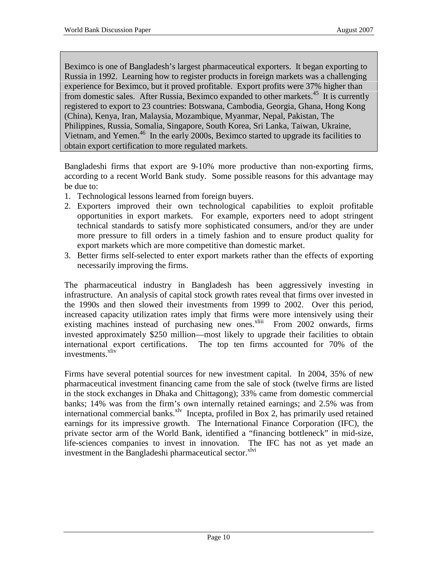Beximco is one of Bangladesh's largest pharmaceutical exporters. It began exporting to Russia in 1992. Learning how to register products in foreign markets was a challenging experience for Beximco, but it proved profitable. Export profits were 37% higher than from domestic sales. After Russia, Beximco expanded to other markets.<sup>45</sup> It is currently registered to export to 23 countries: Botswana, Cambodia, Georgia, Ghana, Hong Kong (China), Kenya, Iran, Malaysia, Mozambique, Myanmar, Nepal, Pakistan, The Philippines, Russia, Somalia, Singapore, South Korea, Sri Lanka, Taiwan, Ukraine, Vietnam, and Yemen.<sup>46</sup> In the early 2000s, Beximco started to upgrade its facilities to obtain export certification to more regulated markets.

Bangladeshi firms that export are 9-10% more productive than non-exporting firms, according to a recent World Bank study. Some possible reasons for this advantage may be due to:

- 1. Technological lessons learned from foreign buyers.
- 2. Exporters improved their own technological capabilities to exploit profitable opportunities in export markets. For example, exporters need to adopt stringent technical standards to satisfy more sophisticated consumers, and/or they are under more pressure to fill orders in a timely fashion and to ensure product quality for export markets which are more competitive than domestic market.
- 3. Better firms self-selected to enter export markets rather than the effects of exporting necessarily improving the firms.

The pharmaceutical industry in Bangladesh has been aggressively investing in infrastructure. An analysis of capital stock growth rates reveal that firms over invested in the 1990s and then slowed their investments from 1999 to 2002. Over this period, increased capacity utilization rates imply that firms were more intensively using their existing machines instead of purchasing new ones. $x^{\text{1}}$  From 2002 onwards, firms invested approximately \$250 million—most likely to upgrade their facilities to obtain international export certifications. The top ten firms accounted for 70% of the investments.<sup>xliv</sup>

Firms have several potential sources for new investment capital. In 2004, 35% of new pharmaceutical investment financing came from the sale of stock (twelve firms are listed in the stock exchanges in Dhaka and Chittagong); 33% came from domestic commercial banks; 14% was from the firm's own internally retained earnings; and 2.5% was from international commercial banks.<sup>xlv</sup> Incepta, profiled in Box 2, has primarily used retained earnings for its impressive growth. The International Finance Corporation (IFC), the private sector arm of the World Bank, identified a "financing bottleneck" in mid-size, life-sciences companies to invest in innovation. The IFC has not as yet made an investment in the Bangladeshi pharmaceutical sector.<sup>xlvi</sup>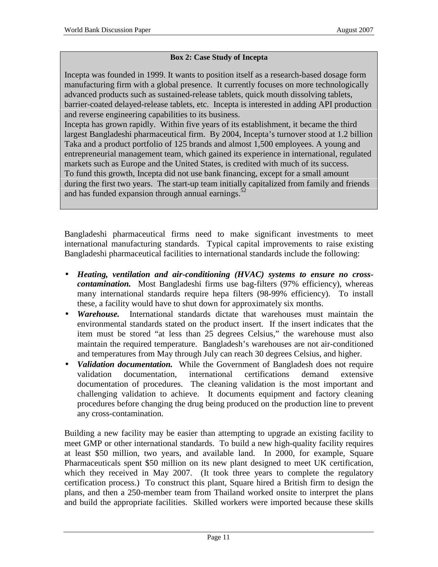#### **Box 2: Case Study of Incepta**

Incepta was founded in 1999. It wants to position itself as a research-based dosage form manufacturing firm with a global presence. It currently focuses on more technologically advanced products such as sustained-release tablets, quick mouth dissolving tablets, barrier-coated delayed-release tablets, etc. Incepta is interested in adding API production and reverse engineering capabilities to its business.

Incepta has grown rapidly. Within five years of its establishment, it became the third largest Bangladeshi pharmaceutical firm. By 2004, Incepta's turnover stood at 1.2 billion Taka and a product portfolio of 125 brands and almost 1,500 employees. A young and entrepreneurial management team, which gained its experience in international, regulated markets such as Europe and the United States, is credited with much of its success. To fund this growth, Incepta did not use bank financing, except for a small amount during the first two years. The start-up team initially capitalized from family and friends and has funded expansion through annual earnings.<sup>52</sup>

Bangladeshi pharmaceutical firms need to make significant investments to meet international manufacturing standards. Typical capital improvements to raise existing Bangladeshi pharmaceutical facilities to international standards include the following:

- *Heating, ventilation and air-conditioning (HVAC) systems to ensure no crosscontamination.* Most Bangladeshi firms use bag-filters (97% efficiency), whereas many international standards require hepa filters (98-99% efficiency). To install these, a facility would have to shut down for approximately six months.
- *Warehouse.* International standards dictate that warehouses must maintain the environmental standards stated on the product insert. If the insert indicates that the item must be stored "at less than 25 degrees Celsius," the warehouse must also maintain the required temperature. Bangladesh's warehouses are not air-conditioned and temperatures from May through July can reach 30 degrees Celsius, and higher.
- *Validation documentation.* While the Government of Bangladesh does not require validation documentation, international certifications demand extensive documentation of procedures. The cleaning validation is the most important and challenging validation to achieve. It documents equipment and factory cleaning procedures before changing the drug being produced on the production line to prevent any cross-contamination.

Building a new facility may be easier than attempting to upgrade an existing facility to meet GMP or other international standards. To build a new high-quality facility requires at least \$50 million, two years, and available land. In 2000, for example, Square Pharmaceuticals spent \$50 million on its new plant designed to meet UK certification, which they received in May 2007. (It took three years to complete the regulatory certification process.) To construct this plant, Square hired a British firm to design the plans, and then a 250-member team from Thailand worked onsite to interpret the plans and build the appropriate facilities. Skilled workers were imported because these skills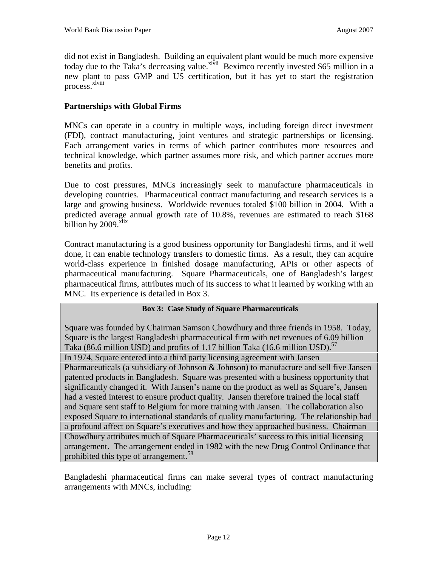did not exist in Bangladesh. Building an equivalent plant would be much more expensive today due to the Taka's decreasing value.<sup>xlvii</sup> Beximco recently invested \$65 million in a new plant to pass GMP and US certification, but it has yet to start the registration process.<sup>xlviii</sup>

#### **Partnerships with Global Firms**

MNCs can operate in a country in multiple ways, including foreign direct investment (FDI), contract manufacturing, joint ventures and strategic partnerships or licensing. Each arrangement varies in terms of which partner contributes more resources and technical knowledge, which partner assumes more risk, and which partner accrues more benefits and profits.

Due to cost pressures, MNCs increasingly seek to manufacture pharmaceuticals in developing countries. Pharmaceutical contract manufacturing and research services is a large and growing business. Worldwide revenues totaled \$100 billion in 2004. With a predicted average annual growth rate of 10.8%, revenues are estimated to reach \$168 billion by  $2009$ .  $x$ lix

Contract manufacturing is a good business opportunity for Bangladeshi firms, and if well done, it can enable technology transfers to domestic firms. As a result, they can acquire world-class experience in finished dosage manufacturing, APIs or other aspects of pharmaceutical manufacturing. Square Pharmaceuticals, one of Bangladesh's largest pharmaceutical firms, attributes much of its success to what it learned by working with an MNC. Its experience is detailed in Box 3.

#### **Box 3: Case Study of Square Pharmaceuticals**

Square was founded by Chairman Samson Chowdhury and three friends in 1958. Today, Square is the largest Bangladeshi pharmaceutical firm with net revenues of 6.09 billion Taka (86.6 million USD) and profits of 1.17 billion Taka (16.6 million USD).<sup>57</sup> In 1974, Square entered into a third party licensing agreement with Jansen Pharmaceuticals (a subsidiary of Johnson & Johnson) to manufacture and sell five Jansen patented products in Bangladesh. Square was presented with a business opportunity that significantly changed it. With Jansen's name on the product as well as Square's, Jansen had a vested interest to ensure product quality. Jansen therefore trained the local staff and Square sent staff to Belgium for more training with Jansen. The collaboration also exposed Square to international standards of quality manufacturing. The relationship had a profound affect on Square's executives and how they approached business. Chairman Chowdhury attributes much of Square Pharmaceuticals' success to this initial licensing arrangement. The arrangement ended in 1982 with the new Drug Control Ordinance that prohibited this type of arrangement.<sup>58</sup>

Bangladeshi pharmaceutical firms can make several types of contract manufacturing arrangements with MNCs, including: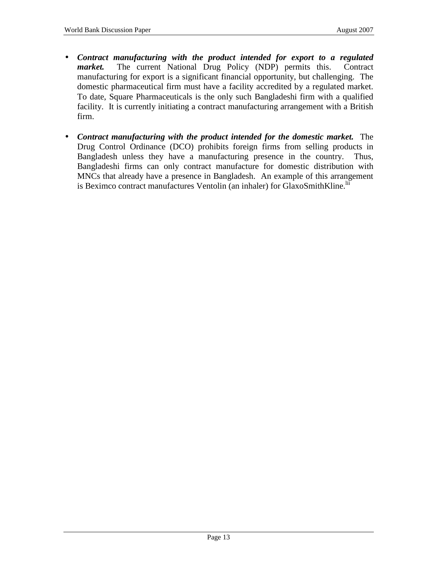- *Contract manufacturing with the product intended for export to a regulated market.* The current National Drug Policy (NDP) permits this. Contract manufacturing for export is a significant financial opportunity, but challenging. The domestic pharmaceutical firm must have a facility accredited by a regulated market. To date, Square Pharmaceuticals is the only such Bangladeshi firm with a qualified facility. It is currently initiating a contract manufacturing arrangement with a British firm.
- *Contract manufacturing with the product intended for the domestic market.* The Drug Control Ordinance (DCO) prohibits foreign firms from selling products in Bangladesh unless they have a manufacturing presence in the country. Thus, Bangladeshi firms can only contract manufacture for domestic distribution with MNCs that already have a presence in Bangladesh. An example of this arrangement is Beximco contract manufactures Ventolin (an inhaler) for GlaxoSmithKline.<sup>lii</sup>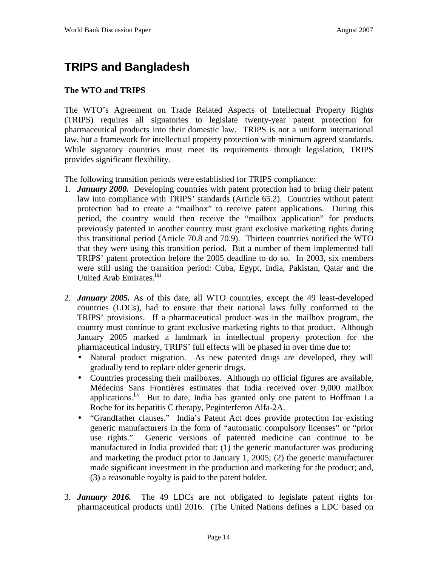# **TRIPS and Bangladesh**

### **The WTO and TRIPS**

The WTO's Agreement on Trade Related Aspects of Intellectual Property Rights (TRIPS) requires all signatories to legislate twenty-year patent protection for pharmaceutical products into their domestic law. TRIPS is not a uniform international law, but a framework for intellectual property protection with minimum agreed standards. While signatory countries must meet its requirements through legislation, TRIPS provides significant flexibility.

The following transition periods were established for TRIPS compliance:

- 1. *January 2000.* Developing countries with patent protection had to bring their patent law into compliance with TRIPS' standards (Article 65.2). Countries without patent protection had to create a "mailbox" to receive patent applications. During this period, the country would then receive the "mailbox application" for products previously patented in another country must grant exclusive marketing rights during this transitional period (Article 70.8 and 70.9). Thirteen countries notified the WTO that they were using this transition period. But a number of them implemented full TRIPS' patent protection before the 2005 deadline to do so. In 2003, six members were still using the transition period: Cuba, Egypt, India, Pakistan, Qatar and the United Arab Emirates.<sup>liii</sup>
- 2. *January 2005.* As of this date, all WTO countries, except the 49 least-developed countries (LDCs), had to ensure that their national laws fully conformed to the TRIPS' provisions. If a pharmaceutical product was in the mailbox program, the country must continue to grant exclusive marketing rights to that product. Although January 2005 marked a landmark in intellectual property protection for the pharmaceutical industry, TRIPS' full effects will be phased in over time due to:
	- Natural product migration. As new patented drugs are developed, they will gradually tend to replace older generic drugs.
	- Countries processing their mailboxes. Although no official figures are available, Médecins Sans Frontières estimates that India received over 9,000 mailbox applications.<sup>liv</sup> But to date, India has granted only one patent to Hoffman La Roche for its hepatitis C therapy, Peginterferon Alfa-2A.
	- "Grandfather clauses." India's Patent Act does provide protection for existing generic manufacturers in the form of "automatic compulsory licenses" or "prior use rights." Generic versions of patented medicine can continue to be manufactured in India provided that: (1) the generic manufacturer was producing and marketing the product prior to January 1, 2005; (2) the generic manufacturer made significant investment in the production and marketing for the product; and, (3) a reasonable royalty is paid to the patent holder.
- 3. *January 2016.* The 49 LDCs are not obligated to legislate patent rights for pharmaceutical products until 2016. (The United Nations defines a LDC based on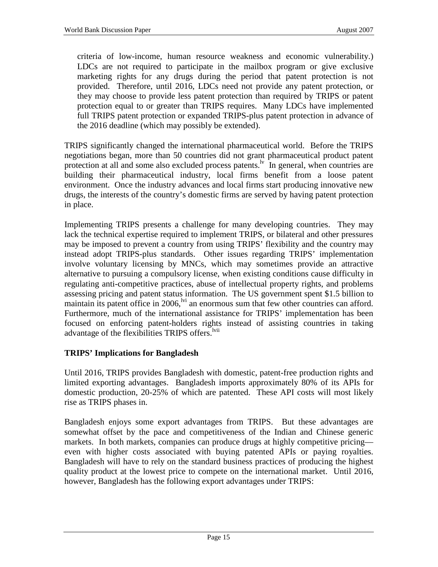criteria of low-income, human resource weakness and economic vulnerability.) LDCs are not required to participate in the mailbox program or give exclusive marketing rights for any drugs during the period that patent protection is not provided. Therefore, until 2016, LDCs need not provide any patent protection, or they may choose to provide less patent protection than required by TRIPS or patent protection equal to or greater than TRIPS requires. Many LDCs have implemented full TRIPS patent protection or expanded TRIPS-plus patent protection in advance of the 2016 deadline (which may possibly be extended).

TRIPS significantly changed the international pharmaceutical world. Before the TRIPS negotiations began, more than 50 countries did not grant pharmaceutical product patent protection at all and some also excluded process patents.<sup>lv</sup> In general, when countries are building their pharmaceutical industry, local firms benefit from a loose patent environment. Once the industry advances and local firms start producing innovative new drugs, the interests of the country's domestic firms are served by having patent protection in place.

Implementing TRIPS presents a challenge for many developing countries. They may lack the technical expertise required to implement TRIPS, or bilateral and other pressures may be imposed to prevent a country from using TRIPS' flexibility and the country may instead adopt TRIPS-plus standards. Other issues regarding TRIPS' implementation involve voluntary licensing by MNCs, which may sometimes provide an attractive alternative to pursuing a compulsory license, when existing conditions cause difficulty in regulating anti-competitive practices, abuse of intellectual property rights, and problems assessing pricing and patent status information. The US government spent \$1.5 billion to maintain its patent office in  $2006$ ,  $\frac{1}{10}$  an enormous sum that few other countries can afford. Furthermore, much of the international assistance for TRIPS' implementation has been focused on enforcing patent-holders rights instead of assisting countries in taking advantage of the flexibilities TRIPS offers.<sup>lvii</sup>

### **TRIPS' Implications for Bangladesh**

Until 2016, TRIPS provides Bangladesh with domestic, patent-free production rights and limited exporting advantages. Bangladesh imports approximately 80% of its APIs for domestic production, 20-25% of which are patented. These API costs will most likely rise as TRIPS phases in.

Bangladesh enjoys some export advantages from TRIPS. But these advantages are somewhat offset by the pace and competitiveness of the Indian and Chinese generic markets. In both markets, companies can produce drugs at highly competitive pricing even with higher costs associated with buying patented APIs or paying royalties. Bangladesh will have to rely on the standard business practices of producing the highest quality product at the lowest price to compete on the international market. Until 2016, however, Bangladesh has the following export advantages under TRIPS: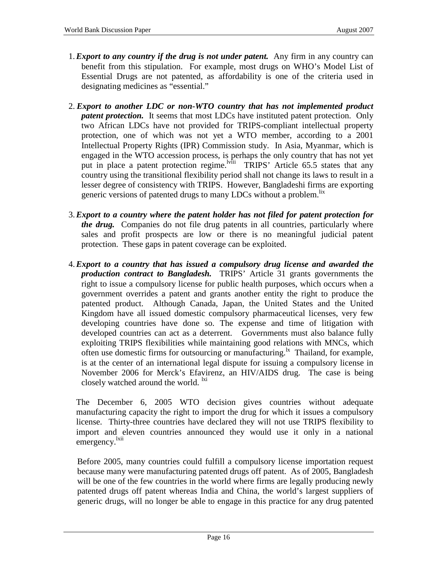- 1. *Export to any country if the drug is not under patent.* Any firm in any country can benefit from this stipulation. For example, most drugs on WHO's Model List of Essential Drugs are not patented, as affordability is one of the criteria used in designating medicines as "essential."
- 2. *Export to another LDC or non-WTO country that has not implemented product patent protection.* It seems that most LDCs have instituted patent protection. Only two African LDCs have not provided for TRIPS-compliant intellectual property protection, one of which was not yet a WTO member, according to a 2001 Intellectual Property Rights (IPR) Commission study. In Asia, Myanmar, which is engaged in the WTO accession process, is perhaps the only country that has not yet put in place a patent protection regime.<sup>lviii</sup> TRIPS' Article 65.5 states that any country using the transitional flexibility period shall not change its laws to result in a lesser degree of consistency with TRIPS. However, Bangladeshi firms are exporting generic versions of patented drugs to many LDCs without a problem.<sup>lix</sup>
- 3. *Export to a country where the patent holder has not filed for patent protection for the drug.* Companies do not file drug patents in all countries, particularly where sales and profit prospects are low or there is no meaningful judicial patent protection. These gaps in patent coverage can be exploited.
- 4. *Export to a country that has issued a compulsory drug license and awarded the production contract to Bangladesh.* TRIPS' Article 31 grants governments the right to issue a compulsory license for public health purposes, which occurs when a government overrides a patent and grants another entity the right to produce the patented product. Although Canada, Japan, the United States and the United Kingdom have all issued domestic compulsory pharmaceutical licenses, very few developing countries have done so. The expense and time of litigation with developed countries can act as a deterrent. Governments must also balance fully exploiting TRIPS flexibilities while maintaining good relations with MNCs, which often use domestic firms for outsourcing or manufacturing.<sup>1x</sup> Thailand, for example, is at the center of an international legal dispute for issuing a compulsory license in November 2006 for Merck's Efavirenz, an HIV/AIDS drug. The case is being closely watched around the world. <sup>1xi</sup>

The December 6, 2005 WTO decision gives countries without adequate manufacturing capacity the right to import the drug for which it issues a compulsory license. Thirty-three countries have declared they will not use TRIPS flexibility to import and eleven countries announced they would use it only in a national emergency.<sup>lxii</sup>

Before 2005, many countries could fulfill a compulsory license importation request because many were manufacturing patented drugs off patent. As of 2005, Bangladesh will be one of the few countries in the world where firms are legally producing newly patented drugs off patent whereas India and China, the world's largest suppliers of generic drugs, will no longer be able to engage in this practice for any drug patented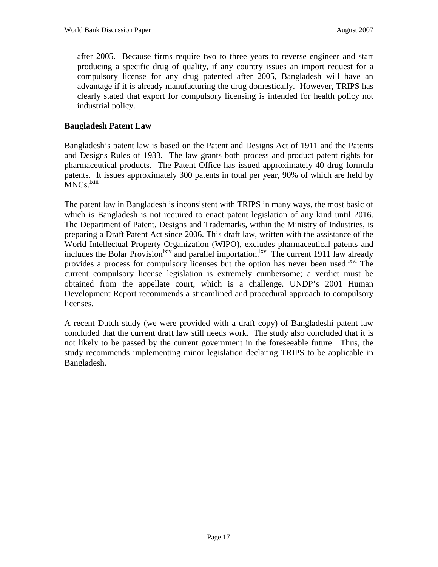after 2005. Because firms require two to three years to reverse engineer and start producing a specific drug of quality, if any country issues an import request for a compulsory license for any drug patented after 2005, Bangladesh will have an advantage if it is already manufacturing the drug domestically. However, TRIPS has clearly stated that export for compulsory licensing is intended for health policy not industrial policy.

#### **Bangladesh Patent Law**

Bangladesh's patent law is based on the Patent and Designs Act of 1911 and the Patents and Designs Rules of 1933. The law grants both process and product patent rights for pharmaceutical products. The Patent Office has issued approximately 40 drug formula patents. It issues approximately 300 patents in total per year, 90% of which are held by MNCs. <sup>1xiii</sup>

The patent law in Bangladesh is inconsistent with TRIPS in many ways, the most basic of which is Bangladesh is not required to enact patent legislation of any kind until 2016. The Department of Patent, Designs and Trademarks, within the Ministry of Industries, is preparing a Draft Patent Act since 2006. This draft law, written with the assistance of the World Intellectual Property Organization (WIPO), excludes pharmaceutical patents and includes the Bolar Provision<sup>lxiv</sup> and parallel importation.<sup>lxv</sup> The current 1911 law already provides a process for compulsory licenses but the option has never been used.<sup>Lxvi</sup> The current compulsory license legislation is extremely cumbersome; a verdict must be obtained from the appellate court, which is a challenge. UNDP's 2001 Human Development Report recommends a streamlined and procedural approach to compulsory licenses.

A recent Dutch study (we were provided with a draft copy) of Bangladeshi patent law concluded that the current draft law still needs work. The study also concluded that it is not likely to be passed by the current government in the foreseeable future. Thus, the study recommends implementing minor legislation declaring TRIPS to be applicable in Bangladesh.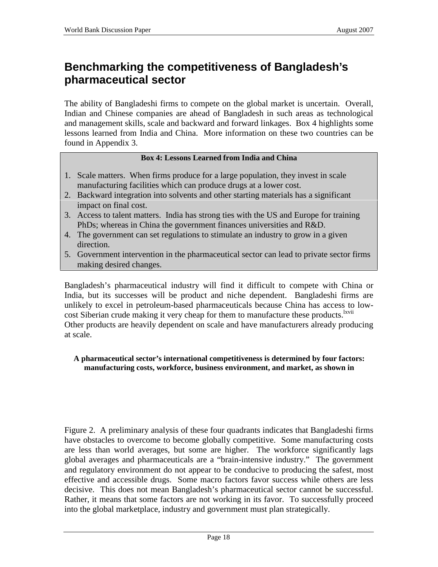# **Benchmarking the competitiveness of Bangladesh's pharmaceutical sector**

The ability of Bangladeshi firms to compete on the global market is uncertain. Overall, Indian and Chinese companies are ahead of Bangladesh in such areas as technological and management skills, scale and backward and forward linkages. Box 4 highlights some lessons learned from India and China. More information on these two countries can be found in Appendix 3.

#### **Box 4: Lessons Learned from India and China**

- 1. Scale matters. When firms produce for a large population, they invest in scale manufacturing facilities which can produce drugs at a lower cost.
- 2. Backward integration into solvents and other starting materials has a significant impact on final cost.
- 3. Access to talent matters. India has strong ties with the US and Europe for training PhDs; whereas in China the government finances universities and R&D.
- 4. The government can set regulations to stimulate an industry to grow in a given direction.
- 5. Government intervention in the pharmaceutical sector can lead to private sector firms making desired changes.

Bangladesh's pharmaceutical industry will find it difficult to compete with China or India, but its successes will be product and niche dependent. Bangladeshi firms are unlikely to excel in petroleum-based pharmaceuticals because China has access to lowcost Siberian crude making it very cheap for them to manufacture these products.<sup>lxvii</sup> Other products are heavily dependent on scale and have manufacturers already producing at scale.

#### **A pharmaceutical sector's international competitiveness is determined by four factors: manufacturing costs, workforce, business environment, and market, as shown in**

Figure 2. A preliminary analysis of these four quadrants indicates that Bangladeshi firms have obstacles to overcome to become globally competitive. Some manufacturing costs are less than world averages, but some are higher. The workforce significantly lags global averages and pharmaceuticals are a "brain-intensive industry." The government and regulatory environment do not appear to be conducive to producing the safest, most effective and accessible drugs. Some macro factors favor success while others are less decisive. This does not mean Bangladesh's pharmaceutical sector cannot be successful. Rather, it means that some factors are not working in its favor. To successfully proceed into the global marketplace, industry and government must plan strategically.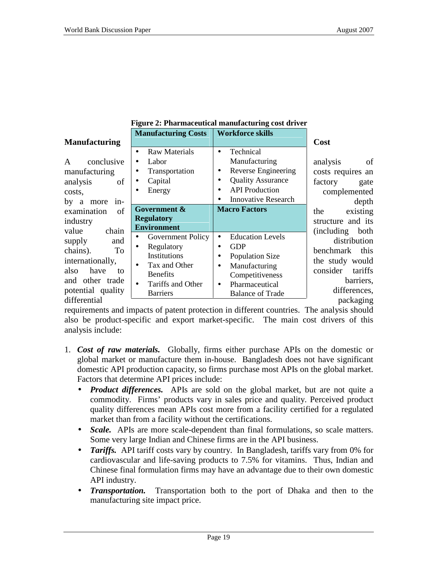| Figure 2: Pharmaceutical manufacturing cost driver |  |
|----------------------------------------------------|--|
|                                                    |  |

| <b>Manufacturing</b> |  |
|----------------------|--|

| <b>Manufacturing</b>                                                                                                                                | <b>Manufacturing Costs</b>                                                                                                                                         | <b>Workforce skills</b>                                                                                                                                                                              | Cost                                                                                                                                         |
|-----------------------------------------------------------------------------------------------------------------------------------------------------|--------------------------------------------------------------------------------------------------------------------------------------------------------------------|------------------------------------------------------------------------------------------------------------------------------------------------------------------------------------------------------|----------------------------------------------------------------------------------------------------------------------------------------------|
| conclusive<br>A<br>manufacturing<br>analysis<br>οf<br>costs,<br>by<br>more<br>a<br>$in$ -                                                           | <b>Raw Materials</b><br>$\bullet$<br>Labor<br>$\bullet$<br>Transportation<br>Capital<br>$\bullet$<br>Energy<br>$\bullet$                                           | Technical<br>$\bullet$<br>Manufacturing<br>Reverse Engineering<br><b>Quality Assurance</b><br>٠<br><b>API</b> Production<br><b>Innovative Research</b><br>$\bullet$                                  | analysis<br>of<br>costs requires an<br>factory<br>gate<br>complemented<br>depth                                                              |
| of<br>examination<br>industry                                                                                                                       | Government &<br><b>Regulatory</b><br><b>Environment</b>                                                                                                            | <b>Macro Factors</b>                                                                                                                                                                                 | existing<br>the<br>structure and its                                                                                                         |
| chain<br>value<br>supply<br>and<br>chains).<br>To<br>internationally,<br>have<br>also<br>to<br>and other trade<br>potential quality<br>differential | Government Policy<br>Regulatory<br>$\bullet$<br>Institutions<br>Tax and Other<br>$\bullet$<br><b>Benefits</b><br>Tariffs and Other<br>$\bullet$<br><b>Barriers</b> | <b>Education Levels</b><br>$\bullet$<br><b>GDP</b><br>$\bullet$<br><b>Population Size</b><br>Manufacturing<br>$\bullet$<br>Competitiveness<br>Pharmaceutical<br>$\bullet$<br><b>Balance of Trade</b> | (including)<br>both<br>distribution<br>benchmark<br>this<br>the study would<br>consider<br>tariffs<br>barriers,<br>differences,<br>packaging |

requirements and impacts of patent protection in different countries. The analysis should also be product-specific and export market-specific. The main cost drivers of this analysis include:

- 1. *Cost of raw materials.* Globally, firms either purchase APIs on the domestic or global market or manufacture them in-house. Bangladesh does not have significant domestic API production capacity, so firms purchase most APIs on the global market. Factors that determine API prices include:
	- *Product differences.* APIs are sold on the global market, but are not quite a commodity. Firms' products vary in sales price and quality. Perceived product quality differences mean APIs cost more from a facility certified for a regulated market than from a facility without the certifications.
	- *Scale.* APIs are more scale-dependent than final formulations, so scale matters. Some very large Indian and Chinese firms are in the API business.
	- *Tariffs.* API tariff costs vary by country. In Bangladesh, tariffs vary from 0% for cardiovascular and life-saving products to 7.5% for vitamins. Thus, Indian and Chinese final formulation firms may have an advantage due to their own domestic API industry.
	- *Transportation.* Transportation both to the port of Dhaka and then to the manufacturing site impact price.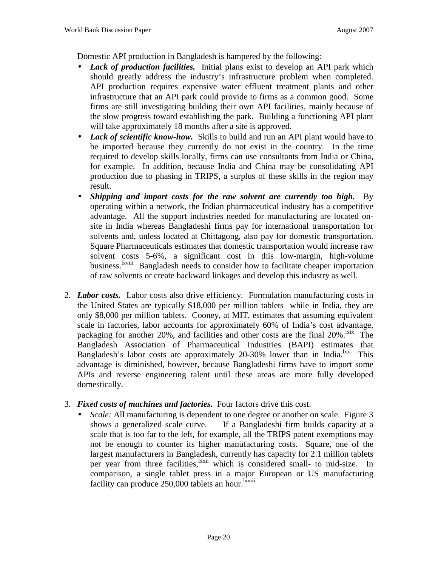Domestic API production in Bangladesh is hampered by the following:

- *Lack of production facilities.* Initial plans exist to develop an API park which should greatly address the industry's infrastructure problem when completed. API production requires expensive water effluent treatment plants and other infrastructure that an API park could provide to firms as a common good. Some firms are still investigating building their own API facilities, mainly because of the slow progress toward establishing the park. Building a functioning API plant will take approximately 18 months after a site is approved.
- *Lack of scientific know-how.* Skills to build and run an API plant would have to be imported because they currently do not exist in the country. In the time required to develop skills locally, firms can use consultants from India or China, for example. In addition, because India and China may be consolidating API production due to phasing in TRIPS, a surplus of these skills in the region may result.
- *Shipping and import costs for the raw solvent are currently too high.* By operating within a network, the Indian pharmaceutical industry has a competitive advantage. All the support industries needed for manufacturing are located onsite in India whereas Bangladeshi firms pay for international transportation for solvents and, unless located at Chittagong, also pay for domestic transportation. Square Pharmaceuticals estimates that domestic transportation would increase raw solvent costs 5-6%, a significant cost in this low-margin, high-volume business.<sup>lxviii</sup> Bangladesh needs to consider how to facilitate cheaper importation of raw solvents or create backward linkages and develop this industry as well.
- 2. *Labor costs.* Labor costs also drive efficiency. Formulation manufacturing costs in the United States are typically \$18,000 per million tablets while in India, they are only \$8,000 per million tablets. Cooney, at MIT, estimates that assuming equivalent scale in factories, labor accounts for approximately 60% of India's cost advantage, packaging for another 20%, and facilities and other costs are the final 20%.<sup>1xix</sup> The Bangladesh Association of Pharmaceutical Industries (BAPI) estimates that Bangladesh's labor costs are approximately 20-30% lower than in India.<sup>lxx</sup> This advantage is diminished, however, because Bangladeshi firms have to import some APIs and reverse engineering talent until these areas are more fully developed domestically.
- 3. *Fixed costs of machines and factories.* Four factors drive this cost.
	- *Scale:* All manufacturing is dependent to one degree or another on scale. Figure 3 shows a generalized scale curve. If a Bangladeshi firm builds capacity at a scale that is too far to the left, for example, all the TRIPS patent exemptions may not be enough to counter its higher manufacturing costs. Square, one of the largest manufacturers in Bangladesh, currently has capacity for 2.1 million tablets per year from three facilities, <sup>1xxii</sup> which is considered small- to mid-size. In comparison, a single tablet press in a major European or US manufacturing facility can produce  $250,000$  tablets an hour.<sup>Ixxiii</sup>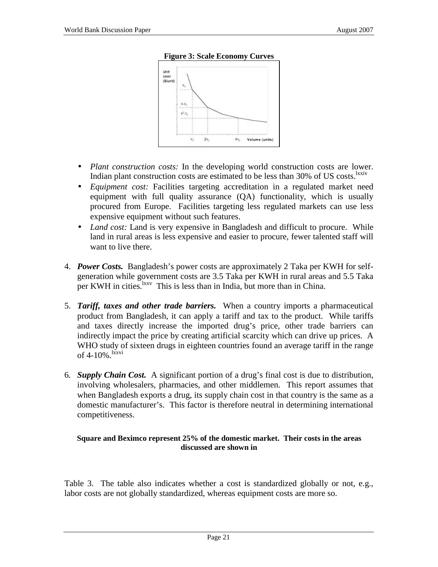

#### **Figure 3: Scale Economy Curves**

- *Plant construction costs:* In the developing world construction costs are lower. Indian plant construction costs are estimated to be less than 30% of US costs.<sup>1xxiv</sup>
- *Equipment cost:* Facilities targeting accreditation in a regulated market need equipment with full quality assurance (QA) functionality, which is usually procured from Europe. Facilities targeting less regulated markets can use less expensive equipment without such features.
- *Land cost:* Land is very expensive in Bangladesh and difficult to procure. While land in rural areas is less expensive and easier to procure, fewer talented staff will want to live there.
- 4. *Power Costs.* Bangladesh's power costs are approximately 2 Taka per KWH for selfgeneration while government costs are 3.5 Taka per KWH in rural areas and 5.5 Taka per KWH in cities.  $\frac{lxx}{l}$  This is less than in India, but more than in China.
- 5. *Tariff, taxes and other trade barriers.* When a country imports a pharmaceutical product from Bangladesh, it can apply a tariff and tax to the product. While tariffs and taxes directly increase the imported drug's price, other trade barriers can indirectly impact the price by creating artificial scarcity which can drive up prices. A WHO study of sixteen drugs in eighteen countries found an average tariff in the range of  $4-10\%$ .  $\frac{lxxvi}{l}$
- 6. *Supply Chain Cost.* A significant portion of a drug's final cost is due to distribution, involving wholesalers, pharmacies, and other middlemen. This report assumes that when Bangladesh exports a drug, its supply chain cost in that country is the same as a domestic manufacturer's. This factor is therefore neutral in determining international competitiveness.

#### **Square and Beximco represent 25% of the domestic market. Their costs in the areas discussed are shown in**

Table 3. The table also indicates whether a cost is standardized globally or not, e.g., labor costs are not globally standardized, whereas equipment costs are more so.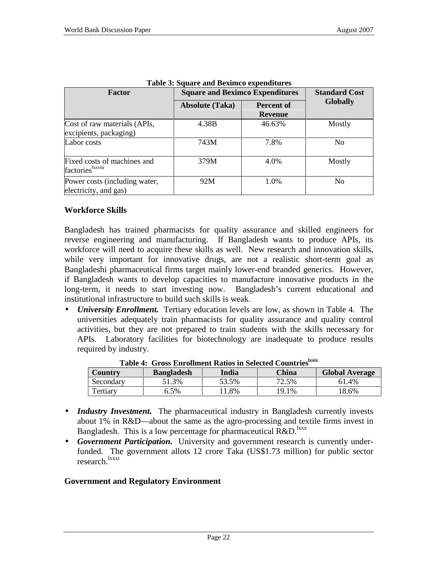| <b>Factor</b>                                          | <b>Square and Beximco Expenditures</b> |                                     | <b>Standard Cost</b> |
|--------------------------------------------------------|----------------------------------------|-------------------------------------|----------------------|
|                                                        | <b>Absolute (Taka)</b>                 | <b>Percent of</b><br><b>Revenue</b> | <b>Globally</b>      |
| Cost of raw materials (APIs,<br>excipients, packaging) | 4.38B                                  | 46.63%                              | Mostly               |
| Labor costs                                            | 743M                                   | 7.8%                                | N <sub>0</sub>       |
| Fixed costs of machines and<br>factories kxviii        | 379M                                   | 4.0%                                | Mostly               |
| Power costs (including water,<br>electricity, and gas) | 92M                                    | 1.0%                                | N <sub>0</sub>       |

| Table 3: Square and Beximco expenditures |
|------------------------------------------|
|------------------------------------------|

#### **Workforce Skills**

Bangladesh has trained pharmacists for quality assurance and skilled engineers for reverse engineering and manufacturing. If Bangladesh wants to produce APIs, its workforce will need to acquire these skills as well. New research and innovation skills, while very important for innovative drugs, are not a realistic short-term goal as Bangladeshi pharmaceutical firms target mainly lower-end branded generics. However, if Bangladesh wants to develop capacities to manufacture innovative products in the long-term, it needs to start investing now. Bangladesh's current educational and institutional infrastructure to build such skills is weak.

• *University Enrollment.* Tertiary education levels are low, as shown in Table 4. The universities adequately train pharmacists for quality assurance and quality control activities, but they are not prepared to train students with the skills necessary for APIs. Laboratory facilities for biotechnology are inadequate to produce results required by industry.

| Country   | <b>Bangladesh</b> | таріс ты бітор іліі оннісіг імпортії рексесе соціптер<br>India | China | <b>Global Average</b> |
|-----------|-------------------|----------------------------------------------------------------|-------|-----------------------|
| Secondary | 51.3%             | 53.5%                                                          | 72.5% | 61.4%                 |
| Tertiary  | 6.5%              | 1.8%                                                           | 19.1% | 18.6%                 |

**Table 4: Gross Enrollment Ratios in Selected Countrieslxxix**

- *Industry Investment*. The pharmaceutical industry in Bangladesh currently invests about 1% in R&D—about the same as the agro-processing and textile firms invest in Bangladesh. This is a low percentage for pharmaceutical  $R&D$ <sup>lxxx</sup>
- *Government Participation.* University and government research is currently underfunded. The government allots 12 crore Taka (US\$1.73 million) for public sector research.<sup>lxxxi</sup>

### **Government and Regulatory Environment**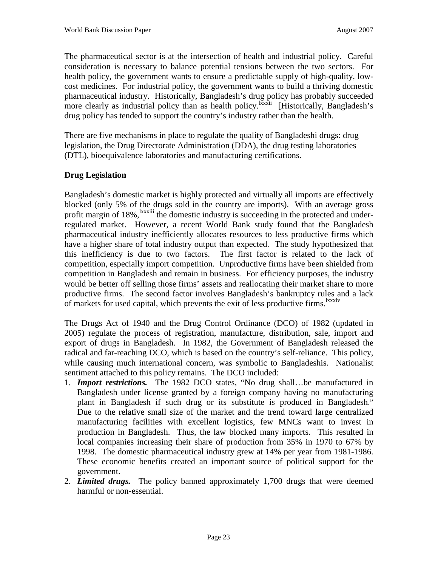The pharmaceutical sector is at the intersection of health and industrial policy. Careful consideration is necessary to balance potential tensions between the two sectors. For health policy, the government wants to ensure a predictable supply of high-quality, lowcost medicines. For industrial policy, the government wants to build a thriving domestic pharmaceutical industry. Historically, Bangladesh's drug policy has probably succeeded more clearly as industrial policy than as health policy.<sup>lxxxii</sup> [Historically, Bangladesh's drug policy has tended to support the country's industry rather than the health.

There are five mechanisms in place to regulate the quality of Bangladeshi drugs: drug legislation, the Drug Directorate Administration (DDA), the drug testing laboratories (DTL), bioequivalence laboratories and manufacturing certifications.

### **Drug Legislation**

Bangladesh's domestic market is highly protected and virtually all imports are effectively blocked (only 5% of the drugs sold in the country are imports). With an average gross profit margin of 18%, <sup>Ixxxiii</sup> the domestic industry is succeeding in the protected and underregulated market. However, a recent World Bank study found that the Bangladesh pharmaceutical industry inefficiently allocates resources to less productive firms which have a higher share of total industry output than expected. The study hypothesized that this inefficiency is due to two factors. The first factor is related to the lack of competition, especially import competition. Unproductive firms have been shielded from competition in Bangladesh and remain in business. For efficiency purposes, the industry would be better off selling those firms' assets and reallocating their market share to more productive firms. The second factor involves Bangladesh's bankruptcy rules and a lack of markets for used capital, which prevents the exit of less productive firms.<sup>1xxxiv</sup>

The Drugs Act of 1940 and the Drug Control Ordinance (DCO) of 1982 (updated in 2005) regulate the process of registration, manufacture, distribution, sale, import and export of drugs in Bangladesh. In 1982, the Government of Bangladesh released the radical and far-reaching DCO, which is based on the country's self-reliance. This policy, while causing much international concern, was symbolic to Bangladeshis. Nationalist sentiment attached to this policy remains. The DCO included:

- 1. *Import restrictions.* The 1982 DCO states, "No drug shall…be manufactured in Bangladesh under license granted by a foreign company having no manufacturing plant in Bangladesh if such drug or its substitute is produced in Bangladesh." Due to the relative small size of the market and the trend toward large centralized manufacturing facilities with excellent logistics, few MNCs want to invest in production in Bangladesh. Thus, the law blocked many imports. This resulted in local companies increasing their share of production from 35% in 1970 to 67% by 1998. The domestic pharmaceutical industry grew at 14% per year from 1981-1986. These economic benefits created an important source of political support for the government.
- 2. *Limited drugs.* The policy banned approximately 1,700 drugs that were deemed harmful or non-essential.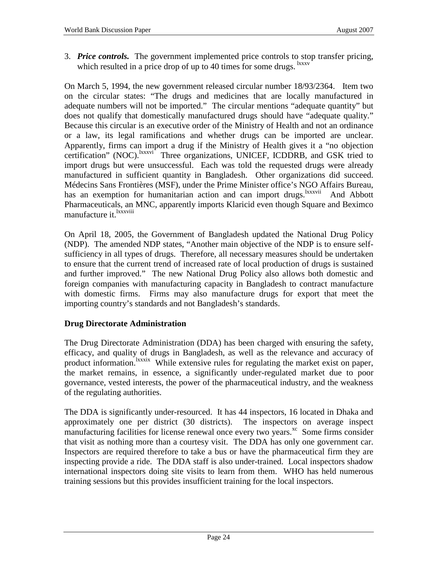3. *Price controls.* The government implemented price controls to stop transfer pricing, which resulted in a price drop of up to 40 times for some drugs.  $\frac{ixxxv}{ }$ 

On March 5, 1994, the new government released circular number 18/93/2364. Item two on the circular states: "The drugs and medicines that are locally manufactured in adequate numbers will not be imported." The circular mentions "adequate quantity" but does not qualify that domestically manufactured drugs should have "adequate quality." Because this circular is an executive order of the Ministry of Health and not an ordinance or a law, its legal ramifications and whether drugs can be imported are unclear. Apparently, firms can import a drug if the Ministry of Health gives it a "no objection certification" (NOC).<sup>lxxxvi</sup> Three organizations, UNICEF, ICDDRB, and GSK tried to import drugs but were unsuccessful. Each was told the requested drugs were already manufactured in sufficient quantity in Bangladesh. Other organizations did succeed. Médecins Sans Frontières (MSF), under the Prime Minister office's NGO Affairs Bureau, has an exemption for humanitarian action and can import drugs.<sup>lxxxvii</sup> And Abbott Pharmaceuticals, an MNC, apparently imports Klaricid even though Square and Beximco manufacture it.<sup>lxxxviii</sup>

On April 18, 2005, the Government of Bangladesh updated the National Drug Policy (NDP). The amended NDP states, "Another main objective of the NDP is to ensure selfsufficiency in all types of drugs. Therefore, all necessary measures should be undertaken to ensure that the current trend of increased rate of local production of drugs is sustained and further improved." The new National Drug Policy also allows both domestic and foreign companies with manufacturing capacity in Bangladesh to contract manufacture with domestic firms. Firms may also manufacture drugs for export that meet the importing country's standards and not Bangladesh's standards.

### **Drug Directorate Administration**

The Drug Directorate Administration (DDA) has been charged with ensuring the safety, efficacy, and quality of drugs in Bangladesh, as well as the relevance and accuracy of product information.<sup>lxxxix</sup> While extensive rules for regulating the market exist on paper, the market remains, in essence, a significantly under-regulated market due to poor governance, vested interests, the power of the pharmaceutical industry, and the weakness of the regulating authorities.

The DDA is significantly under-resourced. It has 44 inspectors, 16 located in Dhaka and approximately one per district (30 districts). The inspectors on average inspect manufacturing facilities for license renewal once every two years. $\frac{xc}{c}$  Some firms consider that visit as nothing more than a courtesy visit. The DDA has only one government car. Inspectors are required therefore to take a bus or have the pharmaceutical firm they are inspecting provide a ride. The DDA staff is also under-trained. Local inspectors shadow international inspectors doing site visits to learn from them. WHO has held numerous training sessions but this provides insufficient training for the local inspectors.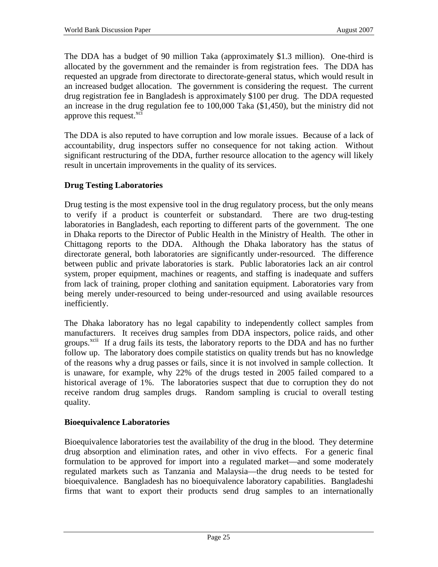The DDA has a budget of 90 million Taka (approximately \$1.3 million). One-third is allocated by the government and the remainder is from registration fees. The DDA has requested an upgrade from directorate to directorate-general status, which would result in an increased budget allocation. The government is considering the request. The current drug registration fee in Bangladesh is approximately \$100 per drug. The DDA requested an increase in the drug regulation fee to 100,000 Taka (\$1,450), but the ministry did not approve this request. $x$ ci

The DDA is also reputed to have corruption and low morale issues. Because of a lack of accountability, drug inspectors suffer no consequence for not taking action. Without significant restructuring of the DDA, further resource allocation to the agency will likely result in uncertain improvements in the quality of its services.

## **Drug Testing Laboratories**

Drug testing is the most expensive tool in the drug regulatory process, but the only means to verify if a product is counterfeit or substandard. There are two drug-testing laboratories in Bangladesh, each reporting to different parts of the government. The one in Dhaka reports to the Director of Public Health in the Ministry of Health. The other in Chittagong reports to the DDA. Although the Dhaka laboratory has the status of directorate general, both laboratories are significantly under-resourced. The difference between public and private laboratories is stark. Public laboratories lack an air control system, proper equipment, machines or reagents, and staffing is inadequate and suffers from lack of training, proper clothing and sanitation equipment. Laboratories vary from being merely under-resourced to being under-resourced and using available resources inefficiently.

The Dhaka laboratory has no legal capability to independently collect samples from manufacturers. It receives drug samples from DDA inspectors, police raids, and other groups.<sup>xcii</sup> If a drug fails its tests, the laboratory reports to the DDA and has no further follow up. The laboratory does compile statistics on quality trends but has no knowledge of the reasons why a drug passes or fails, since it is not involved in sample collection. It is unaware, for example, why 22% of the drugs tested in 2005 failed compared to a historical average of 1%. The laboratories suspect that due to corruption they do not receive random drug samples drugs. Random sampling is crucial to overall testing quality.

#### **Bioequivalence Laboratories**

Bioequivalence laboratories test the availability of the drug in the blood. They determine drug absorption and elimination rates, and other in vivo effects. For a generic final formulation to be approved for import into a regulated market—and some moderately regulated markets such as Tanzania and Malaysia—the drug needs to be tested for bioequivalence. Bangladesh has no bioequivalence laboratory capabilities. Bangladeshi firms that want to export their products send drug samples to an internationally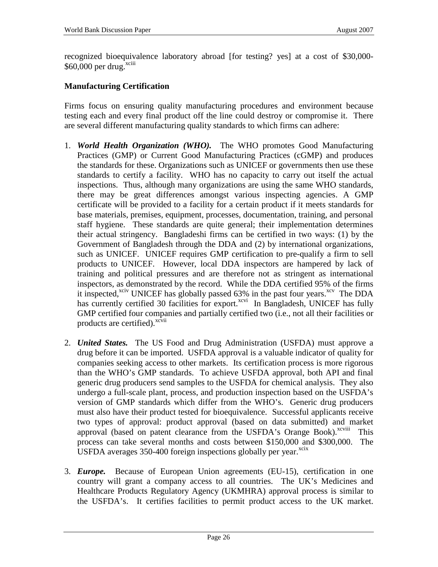recognized bioequivalence laboratory abroad [for testing? yes] at a cost of \$30,000-  $$60,000$  per drug.<sup>xciii</sup>

#### **Manufacturing Certification**

Firms focus on ensuring quality manufacturing procedures and environment because testing each and every final product off the line could destroy or compromise it. There are several different manufacturing quality standards to which firms can adhere:

- 1. *World Health Organization (WHO).* The WHO promotes Good Manufacturing Practices (GMP) or Current Good Manufacturing Practices (cGMP) and produces the standards for these. Organizations such as UNICEF or governments then use these standards to certify a facility. WHO has no capacity to carry out itself the actual inspections. Thus, although many organizations are using the same WHO standards, there may be great differences amongst various inspecting agencies. A GMP certificate will be provided to a facility for a certain product if it meets standards for base materials, premises, equipment, processes, documentation, training, and personal staff hygiene. These standards are quite general; their implementation determines their actual stringency. Bangladeshi firms can be certified in two ways: (1) by the Government of Bangladesh through the DDA and (2) by international organizations, such as UNICEF. UNICEF requires GMP certification to pre-qualify a firm to sell products to UNICEF. However, local DDA inspectors are hampered by lack of training and political pressures and are therefore not as stringent as international inspectors, as demonstrated by the record. While the DDA certified 95% of the firms it inspected,<sup>xciv</sup> UNICEF has globally passed 63% in the past four years.<sup>xcv</sup> The DDA has currently certified 30 facilities for export.<sup>xcvi</sup> In Bangladesh, UNICEF has fully GMP certified four companies and partially certified two (i.e., not all their facilities or products are certified).<sup>xcvii</sup>
- 2. *United States.* The US Food and Drug Administration (USFDA) must approve a drug before it can be imported. USFDA approval is a valuable indicator of quality for companies seeking access to other markets. Its certification process is more rigorous than the WHO's GMP standards. To achieve USFDA approval, both API and final generic drug producers send samples to the USFDA for chemical analysis. They also undergo a full-scale plant, process, and production inspection based on the USFDA's version of GMP standards which differ from the WHO's. Generic drug producers must also have their product tested for bioequivalence. Successful applicants receive two types of approval: product approval (based on data submitted) and market approval (based on patent clearance from the USFDA's Orange Book).<sup>xcviii</sup> This process can take several months and costs between \$150,000 and \$300,000. The USFDA averages  $350-400$  foreign inspections globally per year.<sup>xcix</sup>
- 3. *Europe.* Because of European Union agreements (EU-15), certification in one country will grant a company access to all countries. The UK's Medicines and Healthcare Products Regulatory Agency (UKMHRA) approval process is similar to the USFDA's. It certifies facilities to permit product access to the UK market.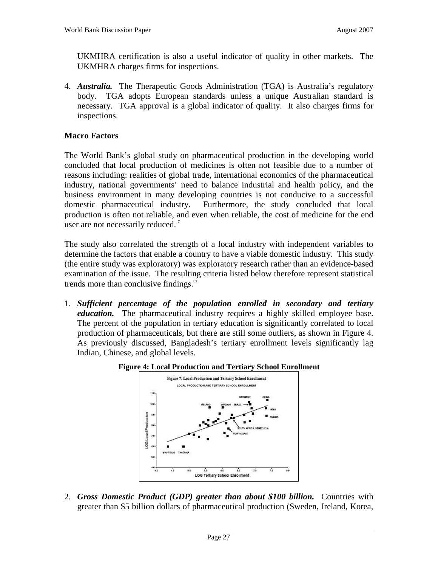UKMHRA certification is also a useful indicator of quality in other markets. The UKMHRA charges firms for inspections.

4. *Australia.* The Therapeutic Goods Administration (TGA) is Australia's regulatory body. TGA adopts European standards unless a unique Australian standard is necessary. TGA approval is a global indicator of quality. It also charges firms for inspections.

#### **Macro Factors**

The World Bank's global study on pharmaceutical production in the developing world concluded that local production of medicines is often not feasible due to a number of reasons including: realities of global trade, international economics of the pharmaceutical industry, national governments' need to balance industrial and health policy, and the business environment in many developing countries is not conducive to a successful domestic pharmaceutical industry. Furthermore, the study concluded that local production is often not reliable, and even when reliable, the cost of medicine for the end user are not necessarily reduced.<sup>c</sup>

The study also correlated the strength of a local industry with independent variables to determine the factors that enable a country to have a viable domestic industry. This study (the entire study was exploratory) was exploratory research rather than an evidence-based examination of the issue. The resulting criteria listed below therefore represent statistical trends more than conclusive findings. $\mathbf{c}^{\text{d}}$ 

1. *Sufficient percentage of the population enrolled in secondary and tertiary education*. The pharmaceutical industry requires a highly skilled employee base. The percent of the population in tertiary education is significantly correlated to local production of pharmaceuticals, but there are still some outliers, as shown in Figure 4. As previously discussed, Bangladesh's tertiary enrollment levels significantly lag Indian, Chinese, and global levels.



#### **Figure 4: Local Production and Tertiary School Enrollment**

2. *Gross Domestic Product (GDP) greater than about \$100 billion.* Countries with greater than \$5 billion dollars of pharmaceutical production (Sweden, Ireland, Korea,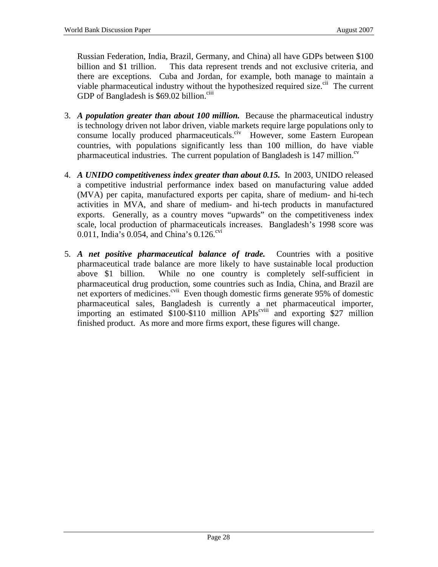Russian Federation, India, Brazil, Germany, and China) all have GDPs between \$100 billion and \$1 trillion. This data represent trends and not exclusive criteria, and there are exceptions. Cuba and Jordan, for example, both manage to maintain a viable pharmaceutical industry without the hypothesized required size.<sup>cii</sup> The current GDP of Bangladesh is  $$69.02$  billion.<sup>ciii</sup>

- 3. *A population greater than about 100 million.* Because the pharmaceutical industry is technology driven not labor driven, viable markets require large populations only to consume locally produced pharmaceuticals.<sup>civ</sup> However, some Eastern European countries, with populations significantly less than 100 million, do have viable pharmaceutical industries. The current population of Bangladesh is  $147$  million.<sup>cv</sup>
- 4. *A UNIDO competitiveness index greater than about 0.15.* In 2003, UNIDO released a competitive industrial performance index based on manufacturing value added (MVA) per capita, manufactured exports per capita, share of medium- and hi-tech activities in MVA, and share of medium- and hi-tech products in manufactured exports. Generally, as a country moves "upwards" on the competitiveness index scale, local production of pharmaceuticals increases. Bangladesh's 1998 score was 0.011, India's 0.054, and China's  $0.126$ <sup>cvi</sup>
- 5. *A net positive pharmaceutical balance of trade.* Countries with a positive pharmaceutical trade balance are more likely to have sustainable local production above \$1 billion. While no one country is completely self-sufficient in pharmaceutical drug production, some countries such as India, China, and Brazil are net exporters of medicines.<sup>cvii</sup> Even though domestic firms generate 95% of domestic pharmaceutical sales, Bangladesh is currently a net pharmaceutical importer, importing an estimated  $$100-$110$  million APIs<sup>cviii</sup> and exporting \$27 million finished product. As more and more firms export, these figures will change.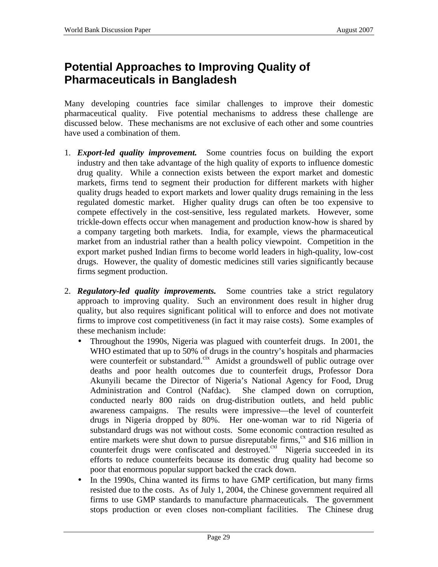# **Potential Approaches to Improving Quality of Pharmaceuticals in Bangladesh**

Many developing countries face similar challenges to improve their domestic pharmaceutical quality. Five potential mechanisms to address these challenge are discussed below. These mechanisms are not exclusive of each other and some countries have used a combination of them.

- 1. *Export-led quality improvement.* Some countries focus on building the export industry and then take advantage of the high quality of exports to influence domestic drug quality. While a connection exists between the export market and domestic markets, firms tend to segment their production for different markets with higher quality drugs headed to export markets and lower quality drugs remaining in the less regulated domestic market. Higher quality drugs can often be too expensive to compete effectively in the cost-sensitive, less regulated markets. However, some trickle-down effects occur when management and production know-how is shared by a company targeting both markets. India, for example, views the pharmaceutical market from an industrial rather than a health policy viewpoint. Competition in the export market pushed Indian firms to become world leaders in high-quality, low-cost drugs. However, the quality of domestic medicines still varies significantly because firms segment production.
- 2. *Regulatory-led quality improvements.* Some countries take a strict regulatory approach to improving quality. Such an environment does result in higher drug quality, but also requires significant political will to enforce and does not motivate firms to improve cost competitiveness (in fact it may raise costs). Some examples of these mechanism include:
	- Throughout the 1990s, Nigeria was plagued with counterfeit drugs. In 2001, the WHO estimated that up to 50% of drugs in the country's hospitals and pharmacies were counterfeit or substandard.<sup>cix</sup> Amidst a groundswell of public outrage over deaths and poor health outcomes due to counterfeit drugs, Professor Dora Akunyili became the Director of Nigeria's National Agency for Food, Drug Administration and Control (Nafdac). She clamped down on corruption, conducted nearly 800 raids on drug-distribution outlets, and held public awareness campaigns. The results were impressive—the level of counterfeit drugs in Nigeria dropped by 80%. Her one-woman war to rid Nigeria of substandard drugs was not without costs. Some economic contraction resulted as entire markets were shut down to pursue disreputable firms, $\alpha$  and \$16 million in counterfeit drugs were confiscated and destroyed.<sup>cxi</sup> Nigeria succeeded in its efforts to reduce counterfeits because its domestic drug quality had become so poor that enormous popular support backed the crack down.
	- In the 1990s, China wanted its firms to have GMP certification, but many firms resisted due to the costs. As of July 1, 2004, the Chinese government required all firms to use GMP standards to manufacture pharmaceuticals. The government stops production or even closes non-compliant facilities. The Chinese drug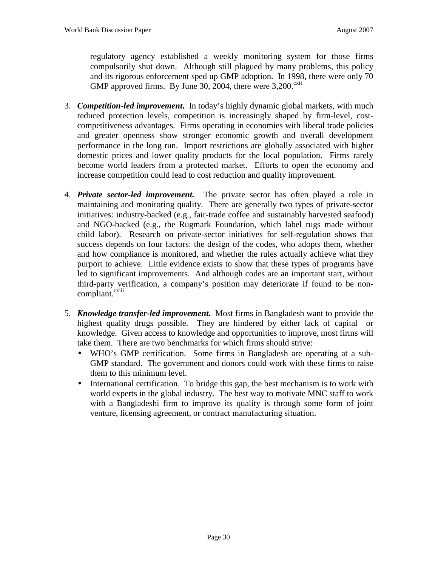regulatory agency established a weekly monitoring system for those firms compulsorily shut down. Although still plagued by many problems, this policy and its rigorous enforcement sped up GMP adoption. In 1998, there were only 70 GMP approved firms. By June 30, 2004, there were  $3,200$ <sup>cxii</sup>

- 3. *Competition-led improvement.* In today's highly dynamic global markets, with much reduced protection levels, competition is increasingly shaped by firm-level, costcompetitiveness advantages. Firms operating in economies with liberal trade policies and greater openness show stronger economic growth and overall development performance in the long run. Import restrictions are globally associated with higher domestic prices and lower quality products for the local population. Firms rarely become world leaders from a protected market. Efforts to open the economy and increase competition could lead to cost reduction and quality improvement.
- 4. *Private sector-led improvement.* The private sector has often played a role in maintaining and monitoring quality. There are generally two types of private-sector initiatives: industry-backed (e.g., fair-trade coffee and sustainably harvested seafood) and NGO-backed (e.g., the Rugmark Foundation, which label rugs made without child labor). Research on private-sector initiatives for self-regulation shows that success depends on four factors: the design of the codes, who adopts them, whether and how compliance is monitored, and whether the rules actually achieve what they purport to achieve. Little evidence exists to show that these types of programs have led to significant improvements. And although codes are an important start, without third-party verification, a company's position may deteriorate if found to be noncompliant.<sup>cxiii</sup>
- 5. *Knowledge transfer-led improvement.* Most firms in Bangladesh want to provide the highest quality drugs possible. They are hindered by either lack of capital or knowledge. Given access to knowledge and opportunities to improve, most firms will take them. There are two benchmarks for which firms should strive:
	- WHO's GMP certification. Some firms in Bangladesh are operating at a sub-GMP standard. The government and donors could work with these firms to raise them to this minimum level.
	- International certification. To bridge this gap, the best mechanism is to work with world experts in the global industry. The best way to motivate MNC staff to work with a Bangladeshi firm to improve its quality is through some form of joint venture, licensing agreement, or contract manufacturing situation.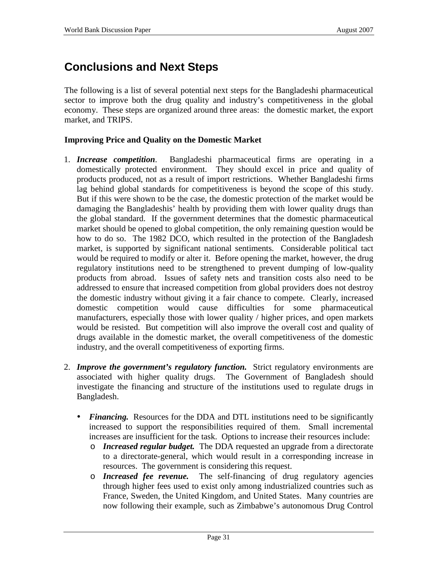# **Conclusions and Next Steps**

The following is a list of several potential next steps for the Bangladeshi pharmaceutical sector to improve both the drug quality and industry's competitiveness in the global economy. These steps are organized around three areas: the domestic market, the export market, and TRIPS.

#### **Improving Price and Quality on the Domestic Market**

- 1. *Increase competition*. Bangladeshi pharmaceutical firms are operating in a domestically protected environment. They should excel in price and quality of products produced, not as a result of import restrictions. Whether Bangladeshi firms lag behind global standards for competitiveness is beyond the scope of this study. But if this were shown to be the case, the domestic protection of the market would be damaging the Bangladeshis' health by providing them with lower quality drugs than the global standard. If the government determines that the domestic pharmaceutical market should be opened to global competition, the only remaining question would be how to do so. The 1982 DCO, which resulted in the protection of the Bangladesh market, is supported by significant national sentiments. Considerable political tact would be required to modify or alter it. Before opening the market, however, the drug regulatory institutions need to be strengthened to prevent dumping of low-quality products from abroad. Issues of safety nets and transition costs also need to be addressed to ensure that increased competition from global providers does not destroy the domestic industry without giving it a fair chance to compete. Clearly, increased domestic competition would cause difficulties for some pharmaceutical manufacturers, especially those with lower quality / higher prices, and open markets would be resisted. But competition will also improve the overall cost and quality of drugs available in the domestic market, the overall competitiveness of the domestic industry, and the overall competitiveness of exporting firms.
- 2. *Improve the government's regulatory function.* Strict regulatory environments are associated with higher quality drugs. The Government of Bangladesh should investigate the financing and structure of the institutions used to regulate drugs in Bangladesh.
	- *Financing.* Resources for the DDA and DTL institutions need to be significantly increased to support the responsibilities required of them. Small incremental increases are insufficient for the task. Options to increase their resources include:
		- o *Increased regular budget.* The DDA requested an upgrade from a directorate to a directorate-general, which would result in a corresponding increase in resources. The government is considering this request.
		- o *Increased fee revenue.* The self-financing of drug regulatory agencies through higher fees used to exist only among industrialized countries such as France, Sweden, the United Kingdom, and United States. Many countries are now following their example, such as Zimbabwe's autonomous Drug Control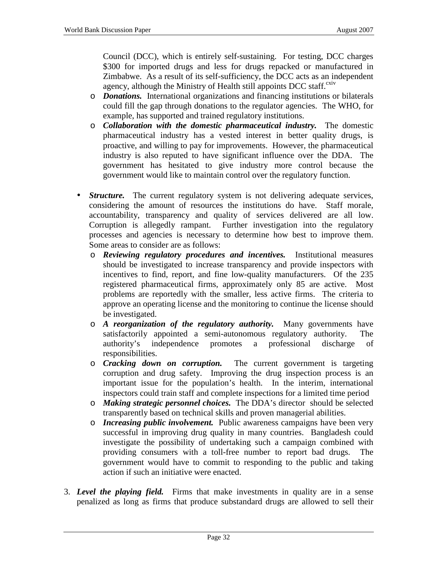Council (DCC), which is entirely self-sustaining. For testing, DCC charges \$300 for imported drugs and less for drugs repacked or manufactured in Zimbabwe. As a result of its self-sufficiency, the DCC acts as an independent agency, although the Ministry of Health still appoints DCC staff. $e^{ixiv}$ 

- o *Donations.* International organizations and financing institutions or bilaterals could fill the gap through donations to the regulator agencies. The WHO, for example, has supported and trained regulatory institutions.
- o *Collaboration with the domestic pharmaceutical industry.* The domestic pharmaceutical industry has a vested interest in better quality drugs, is proactive, and willing to pay for improvements. However, the pharmaceutical industry is also reputed to have significant influence over the DDA. The government has hesitated to give industry more control because the government would like to maintain control over the regulatory function.
- *Structure.* The current regulatory system is not delivering adequate services, considering the amount of resources the institutions do have. Staff morale, accountability, transparency and quality of services delivered are all low. Corruption is allegedly rampant. Further investigation into the regulatory processes and agencies is necessary to determine how best to improve them. Some areas to consider are as follows:
	- o *Reviewing regulatory procedures and incentives.* Institutional measures should be investigated to increase transparency and provide inspectors with incentives to find, report, and fine low-quality manufacturers. Of the 235 registered pharmaceutical firms, approximately only 85 are active. Most problems are reportedly with the smaller, less active firms. The criteria to approve an operating license and the monitoring to continue the license should be investigated.
	- o *A reorganization of the regulatory authority.* Many governments have satisfactorily appointed a semi-autonomous regulatory authority. The authority's independence promotes a professional discharge of responsibilities.
	- o *Cracking down on corruption.* The current government is targeting corruption and drug safety. Improving the drug inspection process is an important issue for the population's health. In the interim, international inspectors could train staff and complete inspections for a limited time period
	- o *Making strategic personnel choices.* The DDA's director should be selected transparently based on technical skills and proven managerial abilities.
	- o *Increasing public involvement.* Public awareness campaigns have been very successful in improving drug quality in many countries. Bangladesh could investigate the possibility of undertaking such a campaign combined with providing consumers with a toll-free number to report bad drugs. The government would have to commit to responding to the public and taking action if such an initiative were enacted.
- 3. *Level the playing field.* Firms that make investments in quality are in a sense penalized as long as firms that produce substandard drugs are allowed to sell their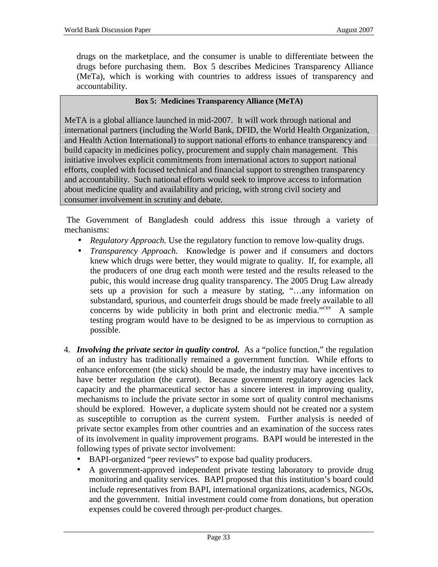drugs on the marketplace, and the consumer is unable to differentiate between the drugs before purchasing them. Box 5 describes Medicines Transparency Alliance (MeTa), which is working with countries to address issues of transparency and accountability.

#### **Box 5: Medicines Transparency Alliance (MeTA)**

MeTA is a global alliance launched in mid-2007. It will work through national and international partners (including the World Bank, DFID, the World Health Organization, and Health Action International) to support national efforts to enhance transparency and build capacity in medicines policy, procurement and supply chain management. This initiative involves explicit commitments from international actors to support national efforts, coupled with focused technical and financial support to strengthen transparency and accountability. Such national efforts would seek to improve access to information about medicine quality and availability and pricing, with strong civil society and consumer involvement in scrutiny and debate.

The Government of Bangladesh could address this issue through a variety of mechanisms:

- *Regulatory Approach*. Use the regulatory function to remove low-quality drugs.
- *Transparency Approach.* Knowledge is power and if consumers and doctors knew which drugs were better, they would migrate to quality. If, for example, all the producers of one drug each month were tested and the results released to the pubic, this would increase drug quality transparency. The 2005 Drug Law already sets up a provision for such a measure by stating, "…any information on substandard, spurious, and counterfeit drugs should be made freely available to all concerns by wide publicity in both print and electronic media. $"''$  A sample testing program would have to be designed to be as impervious to corruption as possible.
- 4. *Involving the private sector in quality control.* As a "police function," the regulation of an industry has traditionally remained a government function. While efforts to enhance enforcement (the stick) should be made, the industry may have incentives to have better regulation (the carrot). Because government regulatory agencies lack capacity and the pharmaceutical sector has a sincere interest in improving quality, mechanisms to include the private sector in some sort of quality control mechanisms should be explored. However, a duplicate system should not be created nor a system as susceptible to corruption as the current system. Further analysis is needed of private sector examples from other countries and an examination of the success rates of its involvement in quality improvement programs. BAPI would be interested in the following types of private sector involvement:
	- BAPI-organized "peer reviews" to expose bad quality producers.
	- A government-approved independent private testing laboratory to provide drug monitoring and quality services. BAPI proposed that this institution's board could include representatives from BAPI, international organizations, academics, NGOs, and the government. Initial investment could come from donations, but operation expenses could be covered through per-product charges.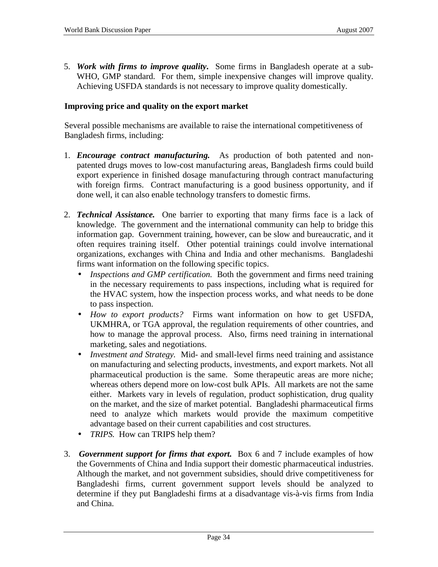5. *Work with firms to improve quality***.** Some firms in Bangladesh operate at a sub-WHO, GMP standard. For them, simple inexpensive changes will improve quality. Achieving USFDA standards is not necessary to improve quality domestically.

#### **Improving price and quality on the export market**

Several possible mechanisms are available to raise the international competitiveness of Bangladesh firms, including:

- 1. *Encourage contract manufacturing.* As production of both patented and nonpatented drugs moves to low-cost manufacturing areas, Bangladesh firms could build export experience in finished dosage manufacturing through contract manufacturing with foreign firms. Contract manufacturing is a good business opportunity, and if done well, it can also enable technology transfers to domestic firms.
- 2. *Technical Assistance.* One barrier to exporting that many firms face is a lack of knowledge. The government and the international community can help to bridge this information gap. Government training, however, can be slow and bureaucratic, and it often requires training itself. Other potential trainings could involve international organizations, exchanges with China and India and other mechanisms. Bangladeshi firms want information on the following specific topics.
	- *Inspections and GMP certification.* Both the government and firms need training in the necessary requirements to pass inspections, including what is required for the HVAC system, how the inspection process works, and what needs to be done to pass inspection.
	- *How to export products?* Firms want information on how to get USFDA, UKMHRA, or TGA approval, the regulation requirements of other countries, and how to manage the approval process. Also, firms need training in international marketing, sales and negotiations.
	- *Investment and Strategy.* Mid- and small-level firms need training and assistance on manufacturing and selecting products, investments, and export markets. Not all pharmaceutical production is the same. Some therapeutic areas are more niche; whereas others depend more on low-cost bulk APIs. All markets are not the same either. Markets vary in levels of regulation, product sophistication, drug quality on the market, and the size of market potential. Bangladeshi pharmaceutical firms need to analyze which markets would provide the maximum competitive advantage based on their current capabilities and cost structures.
	- *TRIPS.* How can TRIPS help them?
- 3. *Government support for firms that export.* Box 6 and 7 include examples of how the Governments of China and India support their domestic pharmaceutical industries. Although the market, and not government subsidies, should drive competitiveness for Bangladeshi firms, current government support levels should be analyzed to determine if they put Bangladeshi firms at a disadvantage vis-à-vis firms from India and China.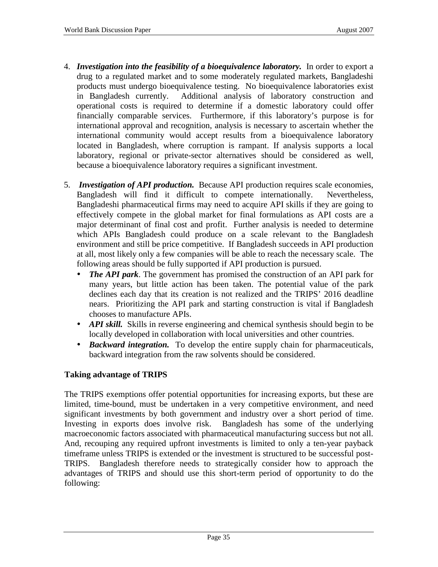- 4. *Investigation into the feasibility of a bioequivalence laboratory.* In order to export a drug to a regulated market and to some moderately regulated markets, Bangladeshi products must undergo bioequivalence testing. No bioequivalence laboratories exist in Bangladesh currently. Additional analysis of laboratory construction and operational costs is required to determine if a domestic laboratory could offer financially comparable services. Furthermore, if this laboratory's purpose is for international approval and recognition, analysis is necessary to ascertain whether the international community would accept results from a bioequivalence laboratory located in Bangladesh, where corruption is rampant. If analysis supports a local laboratory, regional or private-sector alternatives should be considered as well, because a bioequivalence laboratory requires a significant investment.
- 5. *Investigation of API production.* Because API production requires scale economies, Bangladesh will find it difficult to compete internationally. Nevertheless, Bangladeshi pharmaceutical firms may need to acquire API skills if they are going to effectively compete in the global market for final formulations as API costs are a major determinant of final cost and profit. Further analysis is needed to determine which APIs Bangladesh could produce on a scale relevant to the Bangladesh environment and still be price competitive. If Bangladesh succeeds in API production at all, most likely only a few companies will be able to reach the necessary scale. The following areas should be fully supported if API production is pursued.
	- *The API park*. The government has promised the construction of an API park for many years, but little action has been taken. The potential value of the park declines each day that its creation is not realized and the TRIPS' 2016 deadline nears. Prioritizing the API park and starting construction is vital if Bangladesh chooses to manufacture APIs.
	- *API skill.* Skills in reverse engineering and chemical synthesis should begin to be locally developed in collaboration with local universities and other countries.
	- *Backward integration.* To develop the entire supply chain for pharmaceuticals, backward integration from the raw solvents should be considered.

### **Taking advantage of TRIPS**

The TRIPS exemptions offer potential opportunities for increasing exports, but these are limited, time-bound, must be undertaken in a very competitive environment, and need significant investments by both government and industry over a short period of time. Investing in exports does involve risk. Bangladesh has some of the underlying macroeconomic factors associated with pharmaceutical manufacturing success but not all. And, recouping any required upfront investments is limited to only a ten-year payback timeframe unless TRIPS is extended or the investment is structured to be successful post-TRIPS. Bangladesh therefore needs to strategically consider how to approach the advantages of TRIPS and should use this short-term period of opportunity to do the following: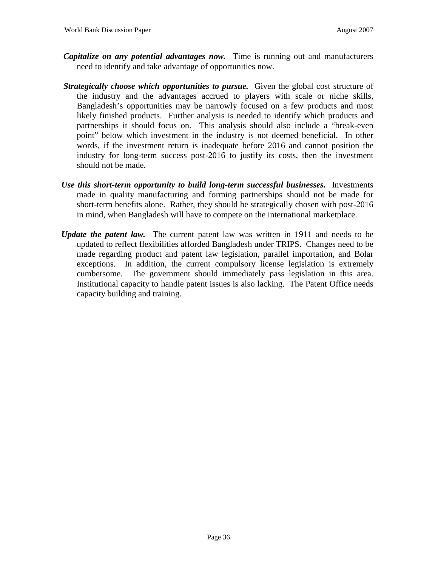- *Capitalize on any potential advantages now.* Time is running out and manufacturers need to identify and take advantage of opportunities now.
- *Strategically choose which opportunities to pursue.* Given the global cost structure of the industry and the advantages accrued to players with scale or niche skills, Bangladesh's opportunities may be narrowly focused on a few products and most likely finished products. Further analysis is needed to identify which products and partnerships it should focus on. This analysis should also include a "break-even point" below which investment in the industry is not deemed beneficial. In other words, if the investment return is inadequate before 2016 and cannot position the industry for long-term success post-2016 to justify its costs, then the investment should not be made.
- *Use this short-term opportunity to build long-term successful businesses.* Investments made in quality manufacturing and forming partnerships should not be made for short-term benefits alone. Rather, they should be strategically chosen with post-2016 in mind, when Bangladesh will have to compete on the international marketplace.
- *Update the patent law.* The current patent law was written in 1911 and needs to be updated to reflect flexibilities afforded Bangladesh under TRIPS. Changes need to be made regarding product and patent law legislation, parallel importation, and Bolar exceptions. In addition, the current compulsory license legislation is extremely cumbersome. The government should immediately pass legislation in this area. Institutional capacity to handle patent issues is also lacking. The Patent Office needs capacity building and training.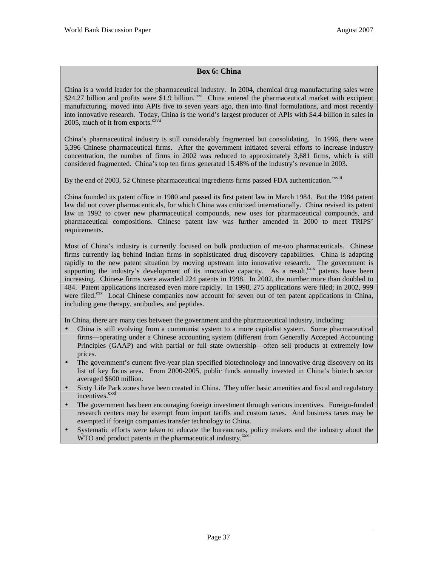#### **Box 6: China**

China is a world leader for the pharmaceutical industry. In 2004, chemical drug manufacturing sales were \$24.27 billion and profits were \$1.9 billion.<sup>cxvi</sup> China entered the pharmaceutical market with excipient manufacturing, moved into APIs five to seven years ago, then into final formulations, and most recently into innovative research. Today, China is the world's largest producer of APIs with \$4.4 billion in sales in 2005, much of it from exports. $\frac{cxy}{cxy}$ 

China's pharmaceutical industry is still considerably fragmented but consolidating. In 1996, there were 5,396 Chinese pharmaceutical firms. After the government initiated several efforts to increase industry concentration, the number of firms in 2002 was reduced to approximately 3,681 firms, which is still considered fragmented. China's top ten firms generated 15.48% of the industry's revenue in 2003.

By the end of 2003, 52 Chinese pharmaceutical ingredients firms passed FDA authentication.<sup>cxviii</sup>

China founded its patent office in 1980 and passed its first patent law in March 1984. But the 1984 patent law did not cover pharmaceuticals, for which China was criticized internationally. China revised its patent law in 1992 to cover new pharmaceutical compounds, new uses for pharmaceutical compounds, and pharmaceutical compositions. Chinese patent law was further amended in 2000 to meet TRIPS' requirements.

Most of China's industry is currently focused on bulk production of me-too pharmaceuticals. Chinese firms currently lag behind Indian firms in sophisticated drug discovery capabilities. China is adapting rapidly to the new patent situation by moving upstream into innovative research. The government is supporting the industry's development of its innovative capacity. As a result, cxix patents have been increasing. Chinese firms were awarded 224 patents in 1998. In 2002, the number more than doubled to 484. Patent applications increased even more rapidly. In 1998, 275 applications were filed; in 2002, 999 were filed.<sup>cxx</sup> Local Chinese companies now account for seven out of ten patent applications in China, including gene therapy, antibodies, and peptides.

In China, there are many ties between the government and the pharmaceutical industry, including:

- China is still evolving from a communist system to a more capitalist system. Some pharmaceutical firms—operating under a Chinese accounting system (different from Generally Accepted Accounting Principles (GAAP) and with partial or full state ownership—often sell products at extremely low prices.
- The government's current five-year plan specified biotechnology and innovative drug discovery on its list of key focus area. From 2000-2005, public funds annually invested in China's biotech sector averaged \$600 million.
- Sixty Life Park zones have been created in China. They offer basic amenities and fiscal and regulatory incentives.<sup>cxxi</sup>
- The government has been encouraging foreign investment through various incentives. Foreign-funded research centers may be exempt from import tariffs and custom taxes. And business taxes may be exempted if foreign companies transfer technology to China.
- Systematic efforts were taken to educate the bureaucrats, policy makers and the industry about the WTO and product patents in the pharmaceutical industry.<sup>cxxii</sup>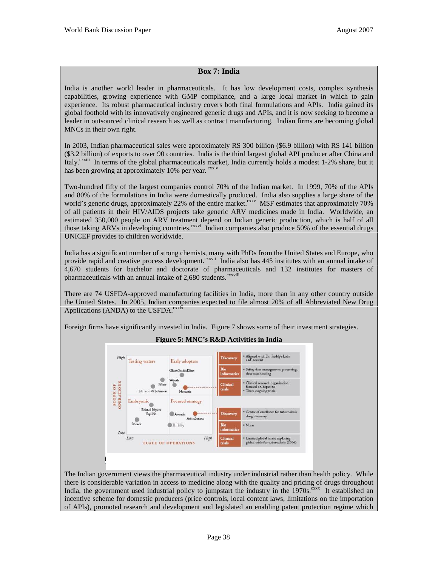#### **Box 7: India**

India is another world leader in pharmaceuticals. It has low development costs, complex synthesis capabilities, growing experience with GMP compliance, and a large local market in which to gain experience. Its robust pharmaceutical industry covers both final formulations and APIs. India gained its global foothold with its innovatively engineered generic drugs and APIs, and it is now seeking to become a leader in outsourced clinical research as well as contract manufacturing. Indian firms are becoming global MNCs in their own right.

In 2003, Indian pharmaceutical sales were approximately RS 300 billion (\$6.9 billion) with RS 141 billion (\$3.2 billion) of exports to over 90 countries. India is the third largest global API producer after China and Italy.<sup>cxxiii</sup> In terms of the global pharmaceuticals market, India currently holds a modest 1-2% share, but it has been growing at approximately 10% per year. <sup>exxiv</sup>

Two-hundred fifty of the largest companies control 70% of the Indian market. In 1999, 70% of the APIs and 80% of the formulations in India were domestically produced. India also supplies a large share of the world's generic drugs, approximately 22% of the entire market.<sup>cxxv</sup> MSF estimates that approximately 70% of all patients in their HIV/AIDS projects take generic ARV medicines made in India. Worldwide, an estimated 350,000 people on ARV treatment depend on Indian generic production, which is half of all those taking ARVs in developing countries.<sup>cxxvi</sup> Indian companies also produce 50% of the essential drugs UNICEF provides to children worldwide.

India has a significant number of strong chemists, many with PhDs from the United States and Europe, who provide rapid and creative process development.<sup>cxxvii</sup> India also has 445 institutes with an annual intake of 4,670 students for bachelor and doctorate of pharmaceuticals and 132 institutes for masters of pharmaceuticals with an annual intake of 2,680 students.<sup>cxxviii</sup>

There are 74 USFDA-approved manufacturing facilities in India, more than in any other country outside the United States. In 2005, Indian companies expected to file almost 20% of all Abbreviated New Drug Applications (ANDA) to the USFDA.<sup>cxxix</sup>

Foreign firms have significantly invested in India. Figure 7 shows some of their investment strategies.



#### **Figure 5: MNC's R&D Activities in India**

The Indian government views the pharmaceutical industry under industrial rather than health policy. While there is considerable variation in access to medicine along with the quality and pricing of drugs throughout India, the government used industrial policy to jumpstart the industry in the  $1970s$ .<sup>cxxx</sup> It established an incentive scheme for domestic producers (price controls, local content laws, limitations on the importation of APIs), promoted research and development and legislated an enabling patent protection regime which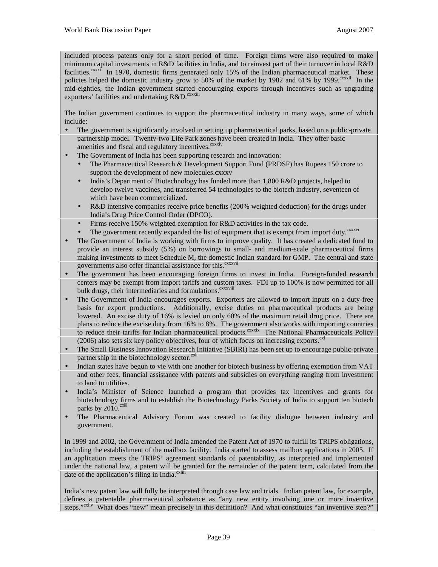included process patents only for a short period of time. Foreign firms were also required to make minimum capital investments in R&D facilities in India, and to reinvest part of their turnover in local R&D facilities.<sup>cxxxi</sup> In 1970, domestic firms generated only 15% of the Indian pharmaceutical market. These policies helped the domestic industry grow to 50% of the market by 1982 and 61% by 1999.<sup>cxxxii</sup> In the mid-eighties, the Indian government started encouraging exports through incentives such as upgrading exporters' facilities and undertaking R&D.<sup>cxxxiii</sup>

The Indian government continues to support the pharmaceutical industry in many ways, some of which include:

- The government is significantly involved in setting up pharmaceutical parks, based on a public-private partnership model. Twenty-two Life Park zones have been created in India. They offer basic amenities and fiscal and regulatory incentives.<sup>cxxxiv</sup>
- The Government of India has been supporting research and innovation:
	- The Pharmaceutical Research & Development Support Fund (PRDSF) has Rupees 150 crore to support the development of new molecules.cxxxv
	- India's Department of Biotechnology has funded more than 1,800 R&D projects, helped to develop twelve vaccines, and transferred 54 technologies to the biotech industry, seventeen of which have been commercialized.
	- R&D intensive companies receive price benefits (200% weighted deduction) for the drugs under India's Drug Price Control Order (DPCO).
	- Firms receive 150% weighted exemption for R&D activities in the tax code.
	- The government recently expanded the list of equipment that is exempt from import duty.<sup>cxxxvi</sup>
- The Government of India is working with firms to improve quality. It has created a dedicated fund to provide an interest subsidy (5%) on borrowings to small- and medium-scale pharmaceutical firms making investments to meet Schedule M, the domestic Indian standard for GMP. The central and state governments also offer financial assistance for this.<sup>cxxxvii</sup>
- The government has been encouraging foreign firms to invest in India. Foreign-funded research centers may be exempt from import tariffs and custom taxes. FDI up to 100% is now permitted for all bulk drugs, their intermediaries and formulations.<sup>cxxxviii</sup>
- The Government of India encourages exports. Exporters are allowed to import inputs on a duty-free basis for export productions. Additionally, excise duties on pharmaceutical products are being lowered. An excise duty of 16% is levied on only 60% of the maximum retail drug price. There are plans to reduce the excise duty from 16% to 8%. The government also works with importing countries to reduce their tariffs for Indian pharmaceutical products.<sup>cxxxix</sup> The National Pharmaceuticals Policy  $(2006)$  also sets six key policy objectives, four of which focus on increasing exports.<sup>cxl</sup>
- The Small Business Innovation Research Initiative (SBIRI) has been set up to encourage public-private partnership in the biotechnology sector.<sup>cxli</sup>
- Indian states have begun to vie with one another for biotech business by offering exemption from VAT and other fees, financial assistance with patents and subsidies on everything ranging from investment to land to utilities.
- India's Minister of Science launched a program that provides tax incentives and grants for biotechnology firms and to establish the Biotechnology Parks Society of India to support ten biotech parks by  $2010$ .<sup>cxlii</sup>
- The Pharmaceutical Advisory Forum was created to facility dialogue between industry and government.

In 1999 and 2002, the Government of India amended the Patent Act of 1970 to fulfill its TRIPS obligations, including the establishment of the mailbox facility. India started to assess mailbox applications in 2005. If an application meets the TRIPS' agreement standards of patentability, as interpreted and implemented under the national law, a patent will be granted for the remainder of the patent term, calculated from the date of the application's filing in India. $\text{c}^{\text{xli}}$ 

India's new patent law will fully be interpreted through case law and trials. Indian patent law, for example, defines a patentable pharmaceutical substance as "any new entity involving one or more inventive steps."<sup>cxliv</sup> What does "new" mean precisely in this definition? And what constitutes "an inventive step?"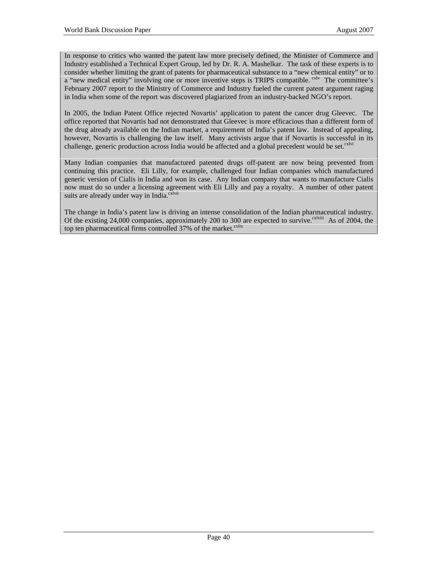In response to critics who wanted the patent law more precisely defined, the Minister of Commerce and Industry established a Technical Expert Group, led by Dr. R. A. Mashelkar. The task of these experts is to consider whether limiting the grant of patents for pharmaceutical substance to a "new chemical entity" or to a "new medical entity" involving one or more inventive steps is TRIPS compatible. <sup>cxlv</sup> The committee's February 2007 report to the Ministry of Commerce and Industry fueled the current patent argument raging in India when some of the report was discovered plagiarized from an industry-backed NGO's report.

In 2005, the Indian Patent Office rejected Novartis' application to patent the cancer drug Gleevec. The office reported that Novartis had not demonstrated that Gleevec is more efficacious than a different form of the drug already available on the Indian market, a requirement of India's patent law. Instead of appealing, however, Novartis is challenging the law itself. Many activists argue that if Novartis is successful in its challenge, generic production across India would be affected and a global precedent would be set.<sup>cxlvi</sup>

Many Indian companies that manufactured patented drugs off-patent are now being prevented from continuing this practice. Eli Lilly, for example, challenged four Indian companies which manufactured generic version of Cialis in India and won its case. Any Indian company that wants to manufacture Cialis now must do so under a licensing agreement with Eli Lilly and pay a royalty. A number of other patent suits are already under way in India.<sup>cxlvii</sup>

The change in India's patent law is driving an intense consolidation of the Indian pharmaceutical industry. Of the existing 24,000 companies, approximately 200 to 300 are expected to survive.<sup>cxlviii</sup> As of 2004, the top ten pharmaceutical firms controlled 37% of the market.<sup>cxlix</sup>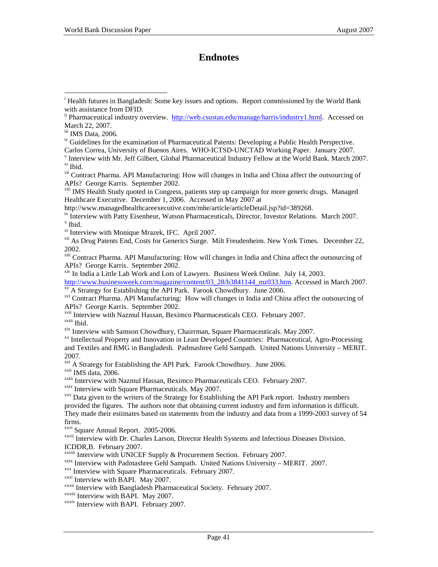## **Endnotes**

<sup>iv</sup> Guidelines for the examination of Pharmaceutical Patents: Developing a Public Health Perspective. Carlos Correa, University of Buenos Aires. WHO-ICTSD-UNCTAD Working Paper. January 2007.

<sup>v</sup> Interview with Mr. Jeff Gilbert, Global Pharmaceutical Industry Fellow at the World Bank. March 2007. vi Ibid.

viii IMS Health Study quoted in Congress, patients step up campaign for more generic drugs. Managed Healthcare Executive. December 1, 2006. Accessed in May 2007 at

http://www.managedhealthcareexecutive.com/mhe/article/articleDetail.jsp?id=389268.

<sup>ix</sup> Interview with Patty Eisenheur, Watson Pharmaceuticals, Director, Investor Relations. March 2007.  $x$  Ibid.

xi Interview with Monique Mrazek, IFC. April 2007.

<sup>xii</sup> As Drug Patents End, Costs for Generics Surge. Milt Freudenheim. New York Times. December 22, 2002.

xiii Contract Pharma. API Manufacturing: How will changes in India and China affect the outsourcing of APIs? George Karris. September 2002.

xiv In India a Little Lab Work and Lots of Lawyers. Business Week Online. July 14, 2003.

http://www.businessweek.com/magazine/content/03\_28/b3841144\_mz033.htm. Accessed in March 2007. *xv* A Strategy for Establishing the API Park. Farook Chowdhury. June 2006.

xvi Contract Pharma. API Manufacturing: How will changes in India and China affect the outsourcing of APIs? George Karris. September 2002.

<sup>xvii</sup> Interview with Nazmul Hassan, Beximco Pharmaceuticals CEO. February 2007.<br><sup>xviii</sup> Ihid

xix Interview with Samson Chowdhury, Chairrman, Square Pharmaceuticals. May 2007.<br><sup>xx</sup> Intellectual Property and Innovation in Least Developed Countries: Pharmaceutical, Agro-Processing and Textiles and RMG in Bangladesh. Padmashree Gehl Sampath. United Nations University – MERIT. 2007.

<sup>xxi</sup> A Strategy for Establishing the API Park. Farook Chowdhury. June 2006.<br><sup>xxiii</sup> IMS data, 2006.<br><sup>xxiii</sup> Interview with Nazmul Hassan, Beximco Pharmaceuticals CEO. February 2007.<br><sup>xxiv</sup> Interview with Square Pharmaceut

 $xxy$  Data given to the writers of the Strategy for Establishing the API Park report. Industry members provided the figures. The authors note that obtaining current industry and firm information is difficult. They made their estimates based on statements from the industry and data from a 1999-2003 survey of 54 firms.

xxvi Square Annual Report. 2005-2006.

xxvii Interview with Dr. Charles Larson, Director Health Systems and Infectious Diseases Division. ICDDR, B. February 2007.<br>XXVIII Interview with UNICEF Supply & Procurement Section. February 2007.

<sup>xxix</sup> Interview with Padmashree Gehl Sampath. United Nations University – MERIT. 2007.<br><sup>xxx</sup> Interview with Square Pharmaceuticals. February 2007.<br><sup>xxxi</sup> Interview with BAPI. May 2007.<br><sup>xxxii</sup> Interview with Bangladesh P

xxxiv Interview with BAPI. February 2007.

<sup>&</sup>lt;sup>i</sup> Health futures in Bangladesh: Some key issues and options. Report commissioned by the World Bank with assistance from DFID.

<sup>&</sup>lt;sup>ii</sup> Pharmaceutical industry overview. http://web.csustan.edu/manage/harris/industry1.html. Accessed on March 22, 2007.

iii IMS Data, 2006.

vii Contract Pharma. API Manufacturing: How will changes in India and China affect the outsourcing of APIs? George Karris. September 2002.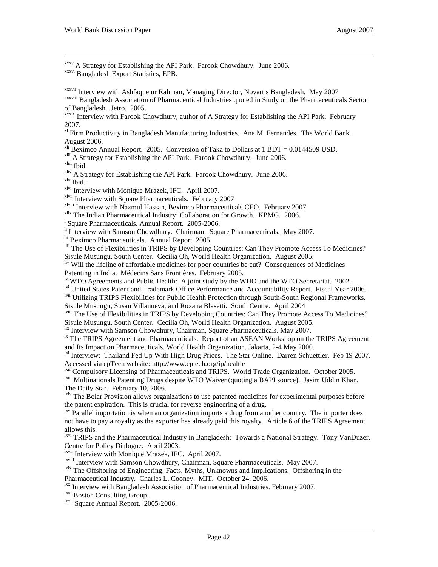xxxv <sup>A</sup> Strategy for Establishing the API Park. Farook Chowdhury. June 2006. xxxvi Bangladesh Export Statistics, EPB.

xxxvii Interview with Ashfaque ur Rahman, Managing Director, Novartis Bangladesh. May 2007 xxxviii Bangladesh Association of Pharmaceutical Industries quoted in Study on the Pharmaceuticals Sector of Bangladesh. Jetro. 2005.

xxxix Interview with Farook Chowdhury, author of A Strategy for Establishing the API Park. February 2007.

<sup>xl</sup> Firm Productivity in Bangladesh Manufacturing Industries. Ana M. Fernandes. The World Bank. August 2006.

<sup>xli</sup> Beximco Annual Report. 2005. Conversion of Taka to Dollars at 1 BDT =  $0.0144509$  USD.

xlii A Strategy for Establishing the API Park. Farook Chowdhury. June 2006.<br>xliii Ibid.

 $x_{\text{iv}}$  A Strategy for Establishing the API Park. Farook Chowdhury. June 2006.<br> $x_{\text{iv}}$  Ibid.  $x_{\text{iv}}$  Interview with Monique Mrazek, IFC. April 2007.

xlvii Interview with Square Pharmaceuticals. February 2007

x<sup>lviii</sup> Interview with Nazmul Hassan, Beximco Pharmaceuticals CEO. February 2007.<br><sup>xlix</sup> The Indian Pharmaceutical Industry: Collaboration for Growth. KPMG. 2006.

<sup>1</sup> Square Pharmaceuticals. Annual Report. 2005-2006.

<sup>li</sup> Interview with Samson Chowdhury. Chairman. Square Pharmaceuticals. May 2007.

lii Beximco Pharmaceuticals. Annual Report. 2005.

liii The Use of Flexibilities in TRIPS by Developing Countries: Can They Promote Access To Medicines? Sisule Musungu, South Center. Cecilia Oh, World Health Organization. August 2005.

liv Will the lifeline of affordable medicines for poor countries be cut? Consequences of Medicines Patenting in India. Médecins Sans Frontières. February 2005.

<sup>1v</sup> WTO Agreements and Public Health: A joint study by the WHO and the WTO Secretariat. 2002.

lvi United States Patent and Trademark Office Performance and Accountability Report. Fiscal Year 2006. <sup>Ivii</sup> Utilizing TRIPS Flexibilities for Public Health Protection through South-South Regional Frameworks.

Sisule Musungu, Susan Villanueva, and Roxana Blasetti. South Centre. April 2004

lviii The Use of Flexibilities in TRIPS by Developing Countries: Can They Promote Access To Medicines?

Sisule Musungu, South Center. Cecilia Oh, World Health Organization. August 2005.<br><sup>lix</sup> Interview with Samson Chowdhury, Chairman, Square Pharmaceuticals. May 2007.

 $\frac{dx}{dt}$  The TRIPS Agreement and Pharmaceuticals. Report of an ASEAN Workshop on the TRIPS Agreement and Its Impact on Pharmaceuticals. World Health Organization. Jakarta, 2-4 May 2000.

<sup>1xi</sup> Interview: Thailand Fed Up With High Drug Prices. The Star Online. Darren Schuettler. Feb 19 2007.

Accessed via cpTech website: http://www.cptech.org/ip/health/<br><sup>1xii</sup> Compulsory Licensing of Pharmaceuticals and TRIPS. World Trade Organization. October 2005.

<sup>1xiii</sup> Multinationals Patenting Drugs despite WTO Waiver (quoting a BAPI source). Jasim Uddin Khan. The Daily Star. February 10, 2006.

<sup>lxiv</sup> The Bolar Provision allows organizations to use patented medicines for experimental purposes before the patent expiration. This is crucial for reverse engineering of a drug.

 $\mu$ <sub>lxv</sub> Parallel importation is when an organization imports a drug from another country. The importer does not have to pay a royalty as the exporter has already paid this royalty. Article 6 of the TRIPS Agreement allows this.

<sup>lxvi</sup> TRIPS and the Pharmaceutical Industry in Bangladesh: Towards a National Strategy. Tony VanDuzer. Centre for Policy Dialogue. April 2003.

<sup>1xvii</sup> Interview with Monique Mrazek, IFC. April 2007.<br><sup>1xvii</sup> Interview with Samson Chowdhury, Chairman, Square Pharmaceuticals. May 2007.

<sup>lxix</sup> The Offshoring of Engineering: Facts, Myths, Unknowns and Implications. Offshoring in the

Pharmaceutical Industry. Charles L. Cooney. MIT. October 24, 2006.

<sup>lxxi</sup> Interview with Bangladesh Association of Pharmaceutical Industries. February 2007.<br><sup>lxxii</sup> Boston Consulting Group.<br><sup>lxxii</sup> Square Annual Report. 2005-2006.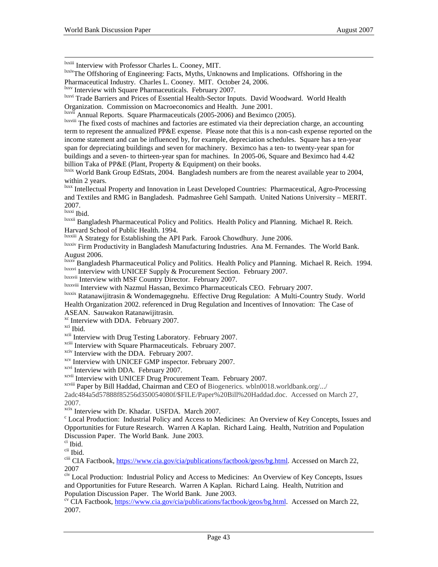<sup>lxxiii</sup> Interview with Professor Charles L. Cooney, MIT.<br><sup>lxxiv</sup>The Offshoring of Engineering: Facts, Myths, Unknowns and Implications. Offshoring in the Pharmaceutical Industry. Charles L. Cooney. MIT. October 24, 2006.

 $\frac{1}{x}$ <sup>1xxviii</sup> The fixed costs of machines and factories are estimated via their depreciation charge, an accounting term to represent the annualized PP&E expense. Please note that this is a non-cash expense reported on the income statement and can be influenced by, for example, depreciation schedules. Square has a ten-year span for depreciating buildings and seven for machinery. Beximco has a ten- to twenty-year span for buildings and a seven- to thirteen-year span for machines. In 2005-06, Square and Beximco had 4.42 billion Taka of PP&E (Plant, Property & Equipment) on their books.

<sup>lxxix</sup> World Bank Group EdStats, 2004. Bangladesh numbers are from the nearest available year to 2004, within 2 years.

lxxx Intellectual Property and Innovation in Least Developed Countries: Pharmaceutical, Agro-Processing and Textiles and RMG in Bangladesh. Padmashree Gehl Sampath. United Nations University – MERIT.  $2007.$ <sup>lxxxi</sup> Ibid.

<sup>Ixxxii</sup> Bangladesh Pharmaceutical Policy and Politics. Health Policy and Planning. Michael R. Reich. Harvard School of Public Health. 1994.

lxxxiii A Strategy for Establishing the API Park. Farook Chowdhury. June 2006.

lxxxiv Firm Productivity in Bangladesh Manufacturing Industries. Ana M. Fernandes. The World Bank. August 2006.

lxxxv Bangladesh Pharmaceutical Policy and Politics. Health Policy and Planning. Michael R. Reich. 1994. lxxxvi Interview with UNICEF Supply & Procurement Section. February 2007.

<sup>Ixxxvii</sup> Interview with MSF Country Director. February 2007.<br><sup>Ixxxviii</sup> Interview with Nazmul Hassan, Beximco Pharmaceuticals CEO. February 2007.

<sup>Ixxxix</sup> Ratanawijitrasin & Wondemagegnehu. Effective Drug Regulation: A Multi-Country Study. World Health Organization 2002. referenced in Drug Regulation and Incentives of Innovation: The Case of ASEAN. Sauwakon Ratanawijitrasin.

<sup>xc</sup> Interview with DDA. February 2007.<br><sup>xci</sup> Ibid.

<sup>xcii</sup> Interview with Drug Testing Laboratory. February 2007.<br><sup>xciii</sup> Interview with Square Pharmaceuticals. February 2007.

<sup>xciv</sup> Interview with the DDA. February 2007.<br><sup>xcv</sup> Interview with UNICEF GMP inspector. February 2007.

<sup>xcvi</sup> Interview with DDA. February 2007.

xcvii Interview with UNICEF Drug Procurement Team. February 2007.

xcviii Paper by Bill Haddad, Chairman and CEO of Biogenerics. wbln0018.worldbank.org/.../

2adc484a5d57888f85256d350054080f/\$FILE/Paper%20Bill%20Haddad.doc. Accessed on March 27, 2007.<br><sup>xcix</sup> Interview with Dr. Khadar. USFDA. March 2007.

 $c$  Local Production: Industrial Policy and Access to Medicines: An Overview of Key Concepts, Issues and Opportunities for Future Research. Warren A Kaplan. Richard Laing. Health, Nutrition and Population Discussion Paper. The World Bank. June 2003.

ci Ibid.

cii Ibid.

ciii CIA Factbook, https://www.cia.gov/cia/publications/factbook/geos/bg.html. Accessed on March 22, 2007

civ Local Production: Industrial Policy and Access to Medicines: An Overview of Key Concepts, Issues and Opportunities for Future Research. Warren A Kaplan. Richard Laing. Health, Nutrition and Population Discussion Paper. The World Bank. June 2003.

<sup>cv</sup> CIA Factbook, https://www.cia.gov/cia/publications/factbook/geos/bg.html. Accessed on March 22, 2007.

lxxv Interview with Square Pharmaceuticals. February 2007.

<sup>&</sup>lt;sup>lxxvi</sup> Trade Barriers and Prices of Essential Health-Sector Inputs. David Woodward. World Health

Organization. Commission on Macroeconomics and Health. June 2001.<br>
<sup>Ixxvii</sup> Annual Reports. Square Pharmaceuticals (2005-2006) and Beximco (2005).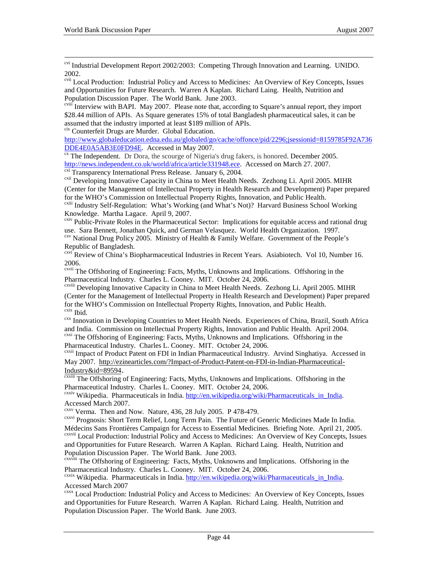<sup>cvi</sup> Industrial Development Report 2002/2003: Competing Through Innovation and Learning. UNIDO. 2002.

cvii Local Production: Industrial Policy and Access to Medicines: An Overview of Key Concepts, Issues and Opportunities for Future Research. Warren A Kaplan. Richard Laing. Health, Nutrition and Population Discussion Paper. The World Bank. June 2003.

cviii Interview with BAPI. May 2007. Please note that, according to Square's annual report, they import \$28.44 million of APIs. As Square generates 15% of total Bangladesh pharmaceutical sales, it can be assumed that the industry imported at least \$189 million of APIs.

cix Counterfeit Drugs are Murder. Global Education.

http://www.globaleducation.edna.edu.au/globaled/go/cache/offonce/pid/2296;jsessionid=8159785F92A736<br>DDE4E0A5AB3E0FD94E. Accessed in May 2007.

<sup>ex</sup> The Independent. Dr Dora, the scourge of Nigeria's drug fakers, is honored. December 2005.<br>http://news.independent.co.uk/world/africa/article331948.ece. Accessed on March 27. 2007.

 $\overline{ext}$  Transparency International Press Release. January 6, 2004.<br>  $\overline{ext}$  Developing Innovative Capacity in China to Meet Health Needs. Zezhong Li. April 2005. MIHR (Center for the Management of Intellectual Property in Health Research and Development) Paper prepared for the WHO's Commission on Intellectual Property Rights, Innovation, and Public Health.

cxiii Industry Self-Regulation: What's Working (and What's Not)? Harvard Business School Working Knowledge. Martha Lagace. April 9, 2007.

<sup>cxiv</sup> Public-Private Roles in the Pharmaceutical Sector: Implications for equitable access and rational drug use. Sara Bennett, Jonathan Quick, and German Velasquez. World Health Organization. 1997.

cxv National Drug Policy 2005. Ministry of Health & Family Welfare. Government of the People's Republic of Bangladesh.

<sup>cxvi</sup> Review of China's Biopharmaceutical Industries in Recent Years. Asiabiotech. Vol 10, Number 16. 2006.

cxvii The Offshoring of Engineering: Facts, Myths, Unknowns and Implications. Offshoring in the Pharmaceutical Industry. Charles L. Cooney. MIT. October 24, 2006.

cxviii Developing Innovative Capacity in China to Meet Health Needs. Zezhong Li. April 2005. MIHR (Center for the Management of Intellectual Property in Health Research and Development) Paper prepared for the WHO's Commission on Intellectual Property Rights, Innovation, and Public Health.<br><sup>exix</sup> Ibid.

<sup>cxx</sup> Innovation in Developing Countries to Meet Health Needs. Experiences of China, Brazil, South Africa and India. Commission on Intellectual Property Rights, Innovation and Public Health. April 2004.

cxxi The Offshoring of Engineering: Facts, Myths, Unknowns and Implications. Offshoring in the Pharmaceutical Industry. Charles L. Cooney. MIT. October 24, 2006.

cxxii Impact of Product Patent on FDI in Indian Pharmaceutical Industry. Arvind Singhatiya. Accessed in May 2007. http://ezinearticles.com/?Impact-of-Product-Patent-on-FDI-in-Indian-Pharmaceutical-Industry & id=89594.<br><sup>cxxiii</sup> The Offshoring of Engineering: Facts, Myths, Unknowns and Implications. Offshoring in the

Pharmaceutical Industry. Charles L. Cooney. MIT. October 24, 2006.

<sup>cxxiv</sup> Wikipedia. Pharmaceuticals in India. http://en.wikipedia.org/wiki/Pharmaceuticals in India. Accessed March 2007.

 $CXXV$  Verma. Then and Now. Nature, 436, 28 July 2005. P 478-479.

<sup>cxxvi</sup> Prognosis: Short Term Relief, Long Term Pain. The Future of Generic Medicines Made In India. Médecins Sans Frontières Campaign for Access to Essential Medicines. Briefing Note. April 21, 2005.

cxxvii Local Production: Industrial Policy and Access to Medicines: An Overview of Key Concepts, Issues and Opportunities for Future Research. Warren A Kaplan. Richard Laing. Health, Nutrition and Population Discussion Paper. The World Bank. June 2003.

<sup>cxxviii</sup> The Offshoring of Engineering: Facts, Myths, Unknowns and Implications. Offshoring in the Pharmaceutical Industry. Charles L. Cooney. MIT. October 24, 2006.

<sup>cxxix</sup> Wikipedia. Pharmaceuticals in India. http://en.wikipedia.org/wiki/Pharmaceuticals in India. Accessed March 2007

cxxx Local Production: Industrial Policy and Access to Medicines: An Overview of Key Concepts, Issues and Opportunities for Future Research. Warren A Kaplan. Richard Laing. Health, Nutrition and Population Discussion Paper. The World Bank. June 2003.